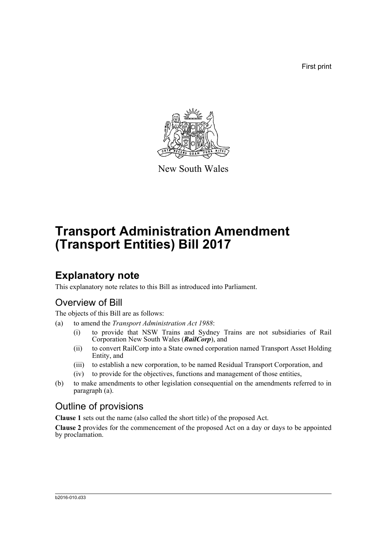First print



New South Wales

# **Transport Administration Amendment (Transport Entities) Bill 2017**

## **Explanatory note**

This explanatory note relates to this Bill as introduced into Parliament.

## Overview of Bill

The objects of this Bill are as follows:

- (a) to amend the *Transport Administration Act 1988*:
	- (i) to provide that NSW Trains and Sydney Trains are not subsidiaries of Rail Corporation New South Wales (*RailCorp*), and
	- (ii) to convert RailCorp into a State owned corporation named Transport Asset Holding Entity, and
	- (iii) to establish a new corporation, to be named Residual Transport Corporation, and
	- (iv) to provide for the objectives, functions and management of those entities,
- (b) to make amendments to other legislation consequential on the amendments referred to in paragraph (a).

## Outline of provisions

**Clause 1** sets out the name (also called the short title) of the proposed Act.

**Clause 2** provides for the commencement of the proposed Act on a day or days to be appointed by proclamation.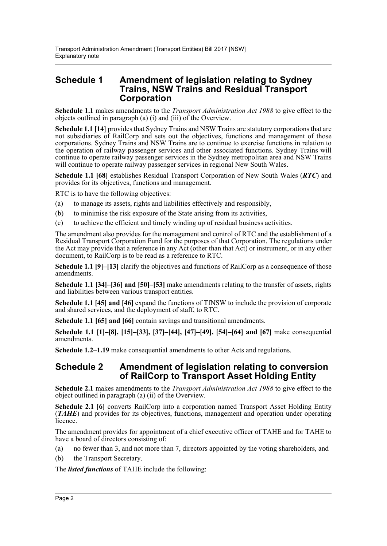### **Schedule 1 Amendment of legislation relating to Sydney Trains, NSW Trains and Residual Transport Corporation**

**Schedule 1.1** makes amendments to the *Transport Administration Act 1988* to give effect to the objects outlined in paragraph (a) (i) and (iii) of the Overview.

**Schedule 1.1 [14]** provides that Sydney Trains and NSW Trains are statutory corporations that are not subsidiaries of RailCorp and sets out the objectives, functions and management of those corporations. Sydney Trains and NSW Trains are to continue to exercise functions in relation to the operation of railway passenger services and other associated functions. Sydney Trains will continue to operate railway passenger services in the Sydney metropolitan area and NSW Trains will continue to operate railway passenger services in regional New South Wales.

**Schedule 1.1 [68]** establishes Residual Transport Corporation of New South Wales (*RTC*) and provides for its objectives, functions and management.

RTC is to have the following objectives:

- (a) to manage its assets, rights and liabilities effectively and responsibly,
- (b) to minimise the risk exposure of the State arising from its activities,
- (c) to achieve the efficient and timely winding up of residual business activities.

The amendment also provides for the management and control of RTC and the establishment of a Residual Transport Corporation Fund for the purposes of that Corporation. The regulations under the Act may provide that a reference in any Act (other than that Act) or instrument, or in any other document, to RailCorp is to be read as a reference to RTC.

**Schedule 1.1 [9]–[13]** clarify the objectives and functions of RailCorp as a consequence of those amendments.

**Schedule 1.1 [34]–[36] and [50]–[53]** make amendments relating to the transfer of assets, rights and liabilities between various transport entities.

**Schedule 1.1 [45] and [46]** expand the functions of TfNSW to include the provision of corporate and shared services, and the deployment of staff, to RTC.

**Schedule 1.1 [65] and [66] contain savings and transitional amendments.** 

**Schedule 1.1 [1]–[8], [15]–[33], [37]–[44], [47]–[49], [54]–[64] and [67]** make consequential amendments.

**Schedule 1.2–1.19** make consequential amendments to other Acts and regulations.

### **Schedule 2 Amendment of legislation relating to conversion of RailCorp to Transport Asset Holding Entity**

**Schedule 2.1** makes amendments to the *Transport Administration Act 1988* to give effect to the object outlined in paragraph (a) (ii) of the Overview.

**Schedule 2.1 [6]** converts RailCorp into a corporation named Transport Asset Holding Entity (*TAHE*) and provides for its objectives, functions, management and operation under operating licence.

The amendment provides for appointment of a chief executive officer of TAHE and for TAHE to have a board of directors consisting of:

- (a) no fewer than 3, and not more than 7, directors appointed by the voting shareholders, and
- (b) the Transport Secretary.

The *listed functions* of TAHE include the following: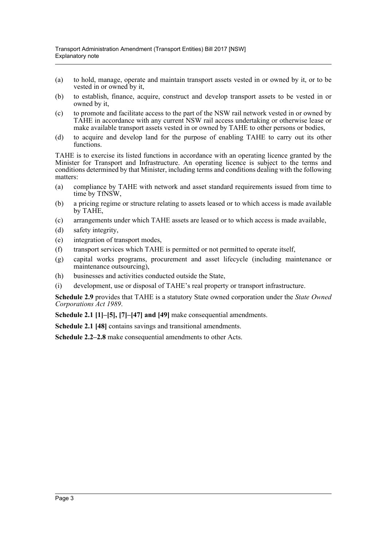- (a) to hold, manage, operate and maintain transport assets vested in or owned by it, or to be vested in or owned by it,
- (b) to establish, finance, acquire, construct and develop transport assets to be vested in or owned by it,
- (c) to promote and facilitate access to the part of the NSW rail network vested in or owned by TAHE in accordance with any current NSW rail access undertaking or otherwise lease or make available transport assets vested in or owned by TAHE to other persons or bodies,
- (d) to acquire and develop land for the purpose of enabling TAHE to carry out its other functions.

TAHE is to exercise its listed functions in accordance with an operating licence granted by the Minister for Transport and Infrastructure. An operating licence is subject to the terms and conditions determined by that Minister, including terms and conditions dealing with the following matters:

- (a) compliance by TAHE with network and asset standard requirements issued from time to time by TfNSW,
- (b) a pricing regime or structure relating to assets leased or to which access is made available by TAHE,
- (c) arrangements under which TAHE assets are leased or to which access is made available,
- (d) safety integrity,
- (e) integration of transport modes,
- (f) transport services which TAHE is permitted or not permitted to operate itself,
- (g) capital works programs, procurement and asset lifecycle (including maintenance or maintenance outsourcing),
- (h) businesses and activities conducted outside the State,
- (i) development, use or disposal of TAHE's real property or transport infrastructure.

**Schedule 2.9** provides that TAHE is a statutory State owned corporation under the *State Owned Corporations Act 1989*.

**Schedule 2.1 [1]–[5], [7]–[47] and [49]** make consequential amendments.

**Schedule 2.1 [48]** contains savings and transitional amendments.

**Schedule 2.2–2.8** make consequential amendments to other Acts.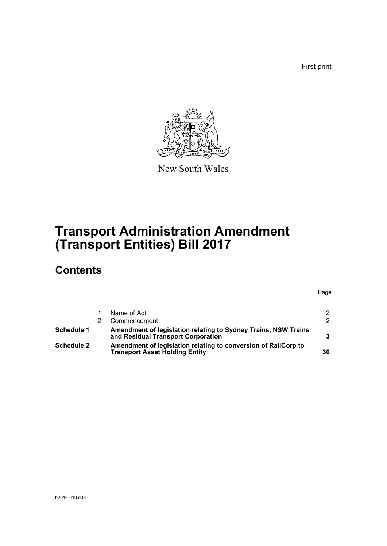First print



New South Wales

# **Transport Administration Amendment (Transport Entities) Bill 2017**

## **Contents**

|                   |                                                                                                         | Page |
|-------------------|---------------------------------------------------------------------------------------------------------|------|
|                   |                                                                                                         |      |
|                   | Name of Act                                                                                             | 2    |
|                   | Commencement                                                                                            | 2    |
| Schedule 1        | Amendment of legislation relating to Sydney Trains, NSW Trains<br>and Residual Transport Corporation    |      |
| <b>Schedule 2</b> | Amendment of legislation relating to conversion of RailCorp to<br><b>Transport Asset Holding Entity</b> | 30   |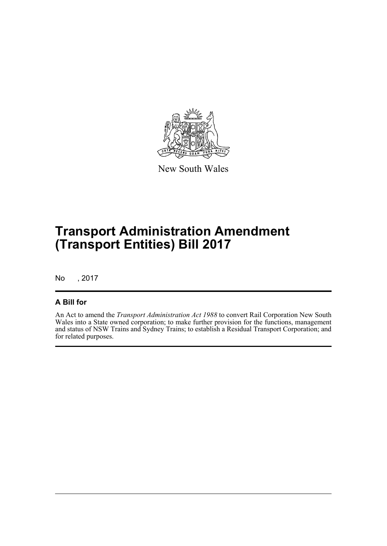

New South Wales

# **Transport Administration Amendment (Transport Entities) Bill 2017**

No , 2017

### **A Bill for**

An Act to amend the *Transport Administration Act 1988* to convert Rail Corporation New South Wales into a State owned corporation; to make further provision for the functions, management and status of NSW Trains and Sydney Trains; to establish a Residual Transport Corporation; and for related purposes.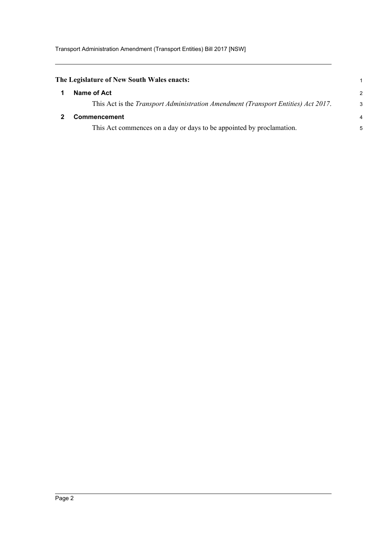<span id="page-5-1"></span><span id="page-5-0"></span>

| The Legislature of New South Wales enacts:                                                |                |  |  |  |
|-------------------------------------------------------------------------------------------|----------------|--|--|--|
| Name of Act                                                                               | $\overline{2}$ |  |  |  |
| This Act is the <i>Transport Administration Amendment (Transport Entities) Act 2017</i> . | 3              |  |  |  |
| <b>Commencement</b>                                                                       | 4              |  |  |  |
| This Act commences on a day or days to be appointed by proclamation.                      | 5              |  |  |  |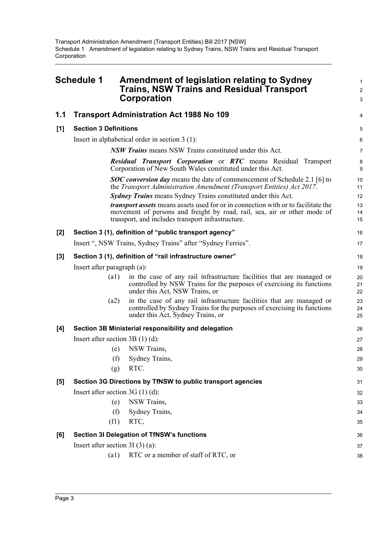<span id="page-6-0"></span>

|       | <b>Schedule 1</b>                 | Amendment of legislation relating to Sydney<br><b>Trains, NSW Trains and Residual Transport</b><br><b>Corporation</b>                                                                                              | 1<br>$\overline{\mathbf{c}}$<br>3 |
|-------|-----------------------------------|--------------------------------------------------------------------------------------------------------------------------------------------------------------------------------------------------------------------|-----------------------------------|
| 1.1   |                                   | <b>Transport Administration Act 1988 No 109</b>                                                                                                                                                                    | 4                                 |
| [1]   | <b>Section 3 Definitions</b>      |                                                                                                                                                                                                                    | 5                                 |
|       |                                   | Insert in alphabetical order in section $3(1)$ :                                                                                                                                                                   | 6                                 |
|       |                                   | NSW Trains means NSW Trains constituted under this Act.                                                                                                                                                            | 7                                 |
|       |                                   | Residual Transport Corporation or RTC means Residual Transport<br>Corporation of New South Wales constituted under this Act.                                                                                       | 8<br>9                            |
|       |                                   | <b>SOC conversion day</b> means the date of commencement of Schedule 2.1 [6] to<br>the Transport Administration Amendment (Transport Entities) Act 2017.                                                           | 10<br>11                          |
|       |                                   | <b>Sydney Trains</b> means Sydney Trains constituted under this Act.                                                                                                                                               | 12                                |
|       |                                   | transport assets means assets used for or in connection with or to facilitate the<br>movement of persons and freight by road, rail, sea, air or other mode of<br>transport, and includes transport infrastructure. | 13<br>14<br>15                    |
| $[2]$ |                                   | Section 3 (1), definition of "public transport agency"                                                                                                                                                             | 16                                |
|       |                                   | Insert ", NSW Trains, Sydney Trains" after "Sydney Ferries".                                                                                                                                                       | 17                                |
| $[3]$ |                                   | Section 3 (1), definition of "rail infrastructure owner"                                                                                                                                                           | 18                                |
|       | Insert after paragraph (a):       |                                                                                                                                                                                                                    | 19                                |
|       | (a1)                              | in the case of any rail infrastructure facilities that are managed or<br>controlled by NSW Trains for the purposes of exercising its functions<br>under this Act, NSW Trains, or                                   | 20<br>21<br>22                    |
|       | (a2)                              | in the case of any rail infrastructure facilities that are managed or<br>controlled by Sydney Trains for the purposes of exercising its functions<br>under this Act, Sydney Trains, or                             | 23<br>24<br>25                    |
| [4]   |                                   | Section 3B Ministerial responsibility and delegation                                                                                                                                                               | 26                                |
|       | Insert after section $3B(1)(d)$ : |                                                                                                                                                                                                                    | 27                                |
|       | (e)                               | NSW Trains,                                                                                                                                                                                                        | 28                                |
|       | (f)                               | Sydney Trains,                                                                                                                                                                                                     | 29                                |
|       | (g)                               | RTC.                                                                                                                                                                                                               | 30                                |
| [5]   |                                   | Section 3G Directions by TfNSW to public transport agencies                                                                                                                                                        | 31                                |
|       | Insert after section $3G(1)(d)$ : |                                                                                                                                                                                                                    | 32                                |
|       | (e)                               | NSW Trains,                                                                                                                                                                                                        | 33                                |
|       | (f)                               | Sydney Trains,                                                                                                                                                                                                     | 34                                |
|       | (f1)                              | RTC,                                                                                                                                                                                                               | 35                                |
| [6]   |                                   | <b>Section 3I Delegation of TfNSW's functions</b>                                                                                                                                                                  | 36                                |
|       | Insert after section $3I(3)(a)$ : |                                                                                                                                                                                                                    | 37                                |
|       | (a1)                              | RTC or a member of staff of RTC, or                                                                                                                                                                                | 38                                |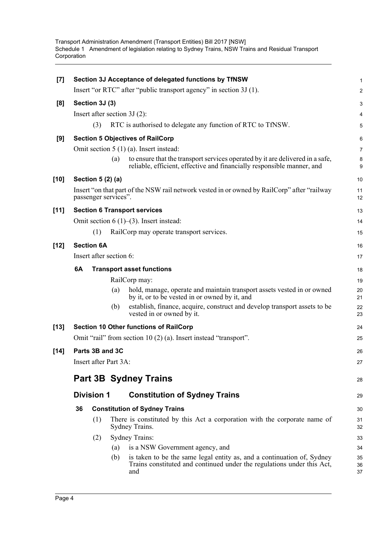| $[7]$  |    |                         |     | Section 3J Acceptance of delegated functions by TfNSW                                                                                                   | $\mathbf{1}$   |
|--------|----|-------------------------|-----|---------------------------------------------------------------------------------------------------------------------------------------------------------|----------------|
|        |    |                         |     | Insert "or RTC" after "public transport agency" in section 3J (1).                                                                                      | 2              |
| [8]    |    | Section 3J (3)          |     |                                                                                                                                                         | 3              |
|        |    |                         |     | Insert after section $3J(2)$ :                                                                                                                          | 4              |
|        |    | (3)                     |     | RTC is authorised to delegate any function of RTC to TfNSW.                                                                                             | 5              |
| [9]    |    |                         |     | <b>Section 5 Objectives of RailCorp</b>                                                                                                                 | 6              |
|        |    |                         |     | Omit section $5(1)(a)$ . Insert instead:                                                                                                                | $\overline{7}$ |
|        |    |                         | (a) | to ensure that the transport services operated by it are delivered in a safe,<br>reliable, efficient, effective and financially responsible manner, and | 8<br>9         |
| $[10]$ |    | Section 5 (2) (a)       |     |                                                                                                                                                         | 10             |
|        |    | passenger services".    |     | Insert "on that part of the NSW rail network vested in or owned by RailCorp" after "railway"                                                            | 11<br>12       |
| [11]   |    |                         |     | <b>Section 6 Transport services</b>                                                                                                                     | 13             |
|        |    |                         |     | Omit section $6(1)$ – $(3)$ . Insert instead:                                                                                                           | 14             |
|        |    | (1)                     |     | RailCorp may operate transport services.                                                                                                                | 15             |
| $[12]$ |    | <b>Section 6A</b>       |     |                                                                                                                                                         | 16             |
|        |    | Insert after section 6: |     |                                                                                                                                                         | 17             |
|        | 6A |                         |     | <b>Transport asset functions</b>                                                                                                                        | 18             |
|        |    |                         |     | RailCorp may:                                                                                                                                           | 19             |
|        |    |                         | (a) | hold, manage, operate and maintain transport assets vested in or owned<br>by it, or to be vested in or owned by it, and                                 | 20<br>21       |
|        |    |                         | (b) | establish, finance, acquire, construct and develop transport assets to be<br>vested in or owned by it.                                                  | 22<br>23       |
| $[13]$ |    |                         |     | <b>Section 10 Other functions of RailCorp</b>                                                                                                           | 24             |
|        |    |                         |     | Omit "rail" from section 10 (2) (a). Insert instead "transport".                                                                                        | 25             |
| $[14]$ |    | Parts 3B and 3C         |     |                                                                                                                                                         | 26             |
|        |    | Insert after Part 3A:   |     |                                                                                                                                                         | 27             |
|        |    |                         |     | <b>Part 3B Sydney Trains</b>                                                                                                                            |                |
|        |    |                         |     |                                                                                                                                                         | 28             |
|        |    | <b>Division 1</b>       |     | <b>Constitution of Sydney Trains</b>                                                                                                                    | 29             |
|        | 36 |                         |     | <b>Constitution of Sydney Trains</b>                                                                                                                    | 30             |
|        |    | (1)                     |     | There is constituted by this Act a corporation with the corporate name of<br>Sydney Trains.                                                             | 31<br>32       |
|        |    | (2)                     |     | <b>Sydney Trains:</b>                                                                                                                                   | 33             |
|        |    |                         | (a) | is a NSW Government agency, and                                                                                                                         | 34             |
|        |    |                         | (b) | is taken to be the same legal entity as, and a continuation of, Sydney<br>Trains constituted and continued under the regulations under this Act,<br>and | 35<br>36<br>37 |
|        |    |                         |     |                                                                                                                                                         |                |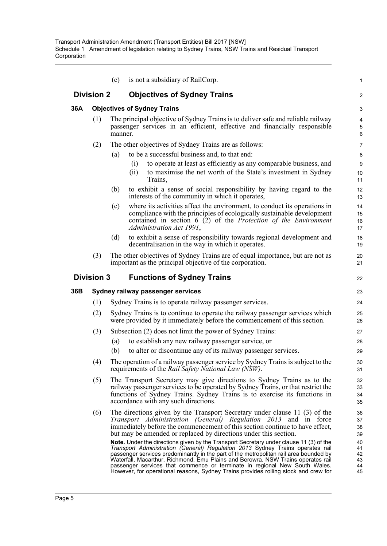|     |                   | (c)     | is not a subsidiary of RailCorp.                                                                                                                                                                                                                                                                                                                                                                                                                                                                                                                                                                                                                                                                                                                                                                                                | 1                                                        |
|-----|-------------------|---------|---------------------------------------------------------------------------------------------------------------------------------------------------------------------------------------------------------------------------------------------------------------------------------------------------------------------------------------------------------------------------------------------------------------------------------------------------------------------------------------------------------------------------------------------------------------------------------------------------------------------------------------------------------------------------------------------------------------------------------------------------------------------------------------------------------------------------------|----------------------------------------------------------|
|     | <b>Division 2</b> |         | <b>Objectives of Sydney Trains</b>                                                                                                                                                                                                                                                                                                                                                                                                                                                                                                                                                                                                                                                                                                                                                                                              | $\overline{a}$                                           |
| 36A |                   |         | <b>Objectives of Sydney Trains</b>                                                                                                                                                                                                                                                                                                                                                                                                                                                                                                                                                                                                                                                                                                                                                                                              | 3                                                        |
|     | (1)               | manner. | The principal objective of Sydney Trains is to deliver safe and reliable railway<br>passenger services in an efficient, effective and financially responsible                                                                                                                                                                                                                                                                                                                                                                                                                                                                                                                                                                                                                                                                   | 4<br>5<br>6                                              |
|     | (2)               |         | The other objectives of Sydney Trains are as follows:                                                                                                                                                                                                                                                                                                                                                                                                                                                                                                                                                                                                                                                                                                                                                                           | 7                                                        |
|     |                   | (a)     | to be a successful business and, to that end:                                                                                                                                                                                                                                                                                                                                                                                                                                                                                                                                                                                                                                                                                                                                                                                   | 8                                                        |
|     |                   |         | to operate at least as efficiently as any comparable business, and<br>(i)                                                                                                                                                                                                                                                                                                                                                                                                                                                                                                                                                                                                                                                                                                                                                       | 9                                                        |
|     |                   |         | to maximise the net worth of the State's investment in Sydney<br>(ii)<br>Trains,                                                                                                                                                                                                                                                                                                                                                                                                                                                                                                                                                                                                                                                                                                                                                | 10<br>11                                                 |
|     |                   | (b)     | to exhibit a sense of social responsibility by having regard to the<br>interests of the community in which it operates,                                                                                                                                                                                                                                                                                                                                                                                                                                                                                                                                                                                                                                                                                                         | 12<br>13                                                 |
|     |                   | (c)     | where its activities affect the environment, to conduct its operations in<br>compliance with the principles of ecologically sustainable development<br>contained in section $6(2)$ of the Protection of the Environment<br>Administration Act 1991,                                                                                                                                                                                                                                                                                                                                                                                                                                                                                                                                                                             | 14<br>15<br>16<br>17                                     |
|     |                   | (d)     | to exhibit a sense of responsibility towards regional development and<br>decentralisation in the way in which it operates.                                                                                                                                                                                                                                                                                                                                                                                                                                                                                                                                                                                                                                                                                                      | 18<br>19                                                 |
|     | (3)               |         | The other objectives of Sydney Trains are of equal importance, but are not as<br>important as the principal objective of the corporation.                                                                                                                                                                                                                                                                                                                                                                                                                                                                                                                                                                                                                                                                                       | 20<br>21                                                 |
|     | <b>Division 3</b> |         | <b>Functions of Sydney Trains</b>                                                                                                                                                                                                                                                                                                                                                                                                                                                                                                                                                                                                                                                                                                                                                                                               | 22                                                       |
| 36B |                   |         | Sydney railway passenger services                                                                                                                                                                                                                                                                                                                                                                                                                                                                                                                                                                                                                                                                                                                                                                                               | 23                                                       |
|     | (1)               |         | Sydney Trains is to operate railway passenger services.                                                                                                                                                                                                                                                                                                                                                                                                                                                                                                                                                                                                                                                                                                                                                                         | 24                                                       |
|     | (2)               |         | Sydney Trains is to continue to operate the railway passenger services which<br>were provided by it immediately before the commencement of this section.                                                                                                                                                                                                                                                                                                                                                                                                                                                                                                                                                                                                                                                                        | 25<br>26                                                 |
|     | (3)               |         | Subsection (2) does not limit the power of Sydney Trains:                                                                                                                                                                                                                                                                                                                                                                                                                                                                                                                                                                                                                                                                                                                                                                       | 27                                                       |
|     |                   | (a)     | to establish any new railway passenger service, or                                                                                                                                                                                                                                                                                                                                                                                                                                                                                                                                                                                                                                                                                                                                                                              | 28                                                       |
|     |                   | (b)     | to alter or discontinue any of its railway passenger services.                                                                                                                                                                                                                                                                                                                                                                                                                                                                                                                                                                                                                                                                                                                                                                  | 29                                                       |
|     | (4)               |         | The operation of a railway passenger service by Sydney Trains is subject to the<br>requirements of the Rail Safety National Law (NSW).                                                                                                                                                                                                                                                                                                                                                                                                                                                                                                                                                                                                                                                                                          | 30<br>31                                                 |
|     | (5)               |         | The Transport Secretary may give directions to Sydney Trains as to the<br>railway passenger services to be operated by Sydney Trains, or that restrict the<br>functions of Sydney Trains. Sydney Trains is to exercise its functions in<br>accordance with any such directions.                                                                                                                                                                                                                                                                                                                                                                                                                                                                                                                                                 | 32<br>33<br>34<br>35                                     |
|     | (6)               |         | The directions given by the Transport Secretary under clause 11 (3) of the<br>Transport Administration (General) Regulation 2013 and in force<br>immediately before the commencement of this section continue to have effect,<br>but may be amended or replaced by directions under this section.<br>Note. Under the directions given by the Transport Secretary under clause 11 (3) of the<br>Transport Administration (General) Regulation 2013 Sydney Trains operates rail<br>passenger services predominantly in the part of the metropolitan rail area bounded by<br>Waterfall, Macarthur, Richmond, Emu Plains and Berowra. NSW Trains operates rail<br>passenger services that commence or terminate in regional New South Wales.<br>However, for operational reasons, Sydney Trains provides rolling stock and crew for | 36<br>37<br>38<br>39<br>40<br>41<br>42<br>43<br>44<br>45 |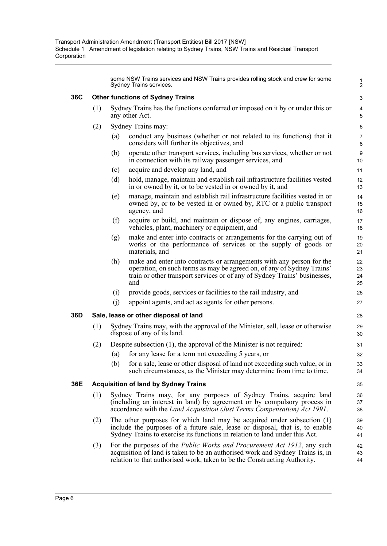some NSW Trains services and NSW Trains provides rolling stock and crew for some Sydney Trains services.

1 2

#### **36C Other functions of Sydney Trains**

- (1) Sydney Trains has the functions conferred or imposed on it by or under this or any other Act.
- (2) Sydney Trains may:
	- (a) conduct any business (whether or not related to its functions) that it considers will further its objectives, and
	- (b) operate other transport services, including bus services, whether or not in connection with its railway passenger services, and
	- (c) acquire and develop any land, and
	- (d) hold, manage, maintain and establish rail infrastructure facilities vested in or owned by it, or to be vested in or owned by it, and
	- (e) manage, maintain and establish rail infrastructure facilities vested in or owned by, or to be vested in or owned by, RTC or a public transport agency, and
	- (f) acquire or build, and maintain or dispose of, any engines, carriages, vehicles, plant, machinery or equipment, and
	- (g) make and enter into contracts or arrangements for the carrying out of works or the performance of services or the supply of goods or materials, and
	- (h) make and enter into contracts or arrangements with any person for the operation, on such terms as may be agreed on, of any of Sydney Trains' train or other transport services or of any of Sydney Trains' businesses, and
	- (i) provide goods, services or facilities to the rail industry, and
	- (j) appoint agents, and act as agents for other persons.

#### **36D Sale, lease or other disposal of land**

- (1) Sydney Trains may, with the approval of the Minister, sell, lease or otherwise dispose of any of its land.
- (2) Despite subsection (1), the approval of the Minister is not required:
	- (a) for any lease for a term not exceeding 5 years, or
	- (b) for a sale, lease or other disposal of land not exceeding such value, or in such circumstances, as the Minister may determine from time to time.

#### **36E Acquisition of land by Sydney Trains**

- (1) Sydney Trains may, for any purposes of Sydney Trains, acquire land (including an interest in land) by agreement or by compulsory process in accordance with the *Land Acquisition (Just Terms Compensation) Act 1991*.
- (2) The other purposes for which land may be acquired under subsection (1) include the purposes of a future sale, lease or disposal, that is, to enable Sydney Trains to exercise its functions in relation to land under this Act.
- (3) For the purposes of the *Public Works and Procurement Act 1912*, any such acquisition of land is taken to be an authorised work and Sydney Trains is, in relation to that authorised work, taken to be the Constructing Authority.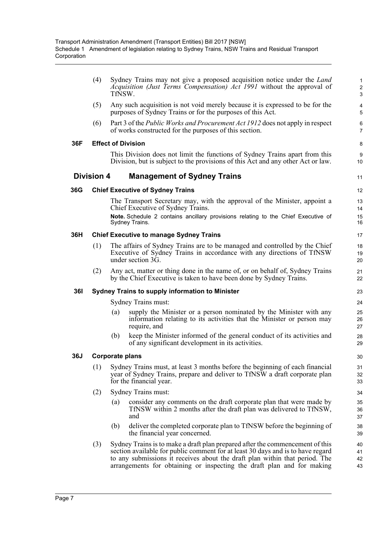|            | (4)               | Sydney Trains may not give a proposed acquisition notice under the <i>Land</i><br>Acquisition (Just Terms Compensation) Act 1991 without the approval of<br>TfNSW.                                                                                                                                                        | $\mathbf{1}$<br>$\overline{c}$<br>3 |
|------------|-------------------|---------------------------------------------------------------------------------------------------------------------------------------------------------------------------------------------------------------------------------------------------------------------------------------------------------------------------|-------------------------------------|
|            | (5)               | Any such acquisition is not void merely because it is expressed to be for the<br>purposes of Sydney Trains or for the purposes of this Act.                                                                                                                                                                               | 4<br>5                              |
|            | (6)               | Part 3 of the <i>Public Works and Procurement Act 1912</i> does not apply in respect<br>of works constructed for the purposes of this section.                                                                                                                                                                            | 6<br>$\overline{7}$                 |
| 36F        |                   | <b>Effect of Division</b>                                                                                                                                                                                                                                                                                                 | 8                                   |
|            |                   | This Division does not limit the functions of Sydney Trains apart from this<br>Division, but is subject to the provisions of this Act and any other Act or law.                                                                                                                                                           | 9<br>10                             |
|            | <b>Division 4</b> | <b>Management of Sydney Trains</b>                                                                                                                                                                                                                                                                                        | 11                                  |
| 36G        |                   | <b>Chief Executive of Sydney Trains</b>                                                                                                                                                                                                                                                                                   | 12                                  |
|            |                   | The Transport Secretary may, with the approval of the Minister, appoint a<br>Chief Executive of Sydney Trains.                                                                                                                                                                                                            | 13<br>14                            |
|            |                   | Note. Schedule 2 contains ancillary provisions relating to the Chief Executive of<br>Sydney Trains.                                                                                                                                                                                                                       | 15<br>16                            |
| 36H        |                   | <b>Chief Executive to manage Sydney Trains</b>                                                                                                                                                                                                                                                                            | 17                                  |
|            | (1)               | The affairs of Sydney Trains are to be managed and controlled by the Chief<br>Executive of Sydney Trains in accordance with any directions of TfNSW<br>under section 3G.                                                                                                                                                  | 18<br>19<br>20                      |
|            | (2)               | Any act, matter or thing done in the name of, or on behalf of, Sydney Trains<br>by the Chief Executive is taken to have been done by Sydney Trains.                                                                                                                                                                       | 21<br>22                            |
| <b>361</b> |                   | <b>Sydney Trains to supply information to Minister</b>                                                                                                                                                                                                                                                                    | 23                                  |
|            |                   | Sydney Trains must:                                                                                                                                                                                                                                                                                                       | 24                                  |
|            |                   | supply the Minister or a person nominated by the Minister with any<br>(a)<br>information relating to its activities that the Minister or person may<br>require, and                                                                                                                                                       | 25<br>26<br>27                      |
|            |                   | keep the Minister informed of the general conduct of its activities and<br>(b)<br>of any significant development in its activities.                                                                                                                                                                                       | 28<br>29                            |
| 36J        |                   | <b>Corporate plans</b>                                                                                                                                                                                                                                                                                                    | 30                                  |
|            | (1)               | Sydney Trains must, at least 3 months before the beginning of each financial<br>year of Sydney Trains, prepare and deliver to TfNSW a draft corporate plan<br>for the financial year.                                                                                                                                     | 31<br>32<br>33                      |
|            | (2)               | Sydney Trains must:                                                                                                                                                                                                                                                                                                       | 34                                  |
|            |                   | consider any comments on the draft corporate plan that were made by<br>(a)<br>TfNSW within 2 months after the draft plan was delivered to TfNSW,<br>and                                                                                                                                                                   | 35<br>36<br>37                      |
|            |                   | deliver the completed corporate plan to TfNSW before the beginning of<br>(b)<br>the financial year concerned.                                                                                                                                                                                                             | 38<br>39                            |
|            | (3)               | Sydney Trains is to make a draft plan prepared after the commencement of this<br>section available for public comment for at least 30 days and is to have regard<br>to any submissions it receives about the draft plan within that period. The<br>arrangements for obtaining or inspecting the draft plan and for making | 40<br>41<br>42<br>43                |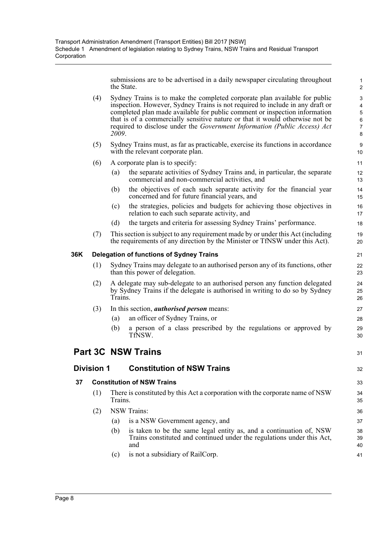submissions are to be advertised in a daily newspaper circulating throughout the State.

1

|     |                   | the State. |                                                                                                                                                                                                                                                                                                                                                                                                        | 2                                                                                                      |
|-----|-------------------|------------|--------------------------------------------------------------------------------------------------------------------------------------------------------------------------------------------------------------------------------------------------------------------------------------------------------------------------------------------------------------------------------------------------------|--------------------------------------------------------------------------------------------------------|
|     | (4)               | 2009.      | Sydney Trains is to make the completed corporate plan available for public<br>inspection. However, Sydney Trains is not required to include in any draft or<br>completed plan made available for public comment or inspection information<br>that is of a commercially sensitive nature or that it would otherwise not be<br>required to disclose under the Government Information (Public Access) Act | $\ensuremath{\mathsf{3}}$<br>$\overline{\mathbf{4}}$<br>$\overline{5}$<br>$\,6$<br>$\overline{7}$<br>8 |
|     | (5)               |            | Sydney Trains must, as far as practicable, exercise its functions in accordance<br>with the relevant corporate plan.                                                                                                                                                                                                                                                                                   | 9<br>10                                                                                                |
|     | (6)               |            | A corporate plan is to specify:                                                                                                                                                                                                                                                                                                                                                                        | 11                                                                                                     |
|     |                   | (a)        | the separate activities of Sydney Trains and, in particular, the separate<br>commercial and non-commercial activities, and                                                                                                                                                                                                                                                                             | 12<br>13                                                                                               |
|     |                   | (b)        | the objectives of each such separate activity for the financial year<br>concerned and for future financial years, and                                                                                                                                                                                                                                                                                  | 14<br>15                                                                                               |
|     |                   | (c)        | the strategies, policies and budgets for achieving those objectives in<br>relation to each such separate activity, and                                                                                                                                                                                                                                                                                 | 16<br>17                                                                                               |
|     |                   | (d)        | the targets and criteria for assessing Sydney Trains' performance.                                                                                                                                                                                                                                                                                                                                     | 18                                                                                                     |
|     | (7)               |            | This section is subject to any requirement made by or under this Act (including<br>the requirements of any direction by the Minister or TfNSW under this Act).                                                                                                                                                                                                                                         | 19<br>20                                                                                               |
| 36K |                   |            | <b>Delegation of functions of Sydney Trains</b>                                                                                                                                                                                                                                                                                                                                                        | 21                                                                                                     |
|     | (1)               |            | Sydney Trains may delegate to an authorised person any of its functions, other<br>than this power of delegation.                                                                                                                                                                                                                                                                                       | 22<br>23                                                                                               |
|     | (2)               | Trains.    | A delegate may sub-delegate to an authorised person any function delegated<br>by Sydney Trains if the delegate is authorised in writing to do so by Sydney                                                                                                                                                                                                                                             | 24<br>25<br>26                                                                                         |
|     | (3)               |            | In this section, <i>authorised person</i> means:                                                                                                                                                                                                                                                                                                                                                       | 27                                                                                                     |
|     |                   | (a)        | an officer of Sydney Trains, or                                                                                                                                                                                                                                                                                                                                                                        | 28                                                                                                     |
|     |                   | (b)        | a person of a class prescribed by the regulations or approved by<br>TfNSW.                                                                                                                                                                                                                                                                                                                             | 29<br>30                                                                                               |
|     |                   |            | <b>Part 3C NSW Trains</b>                                                                                                                                                                                                                                                                                                                                                                              | 31                                                                                                     |
|     | <b>Division 1</b> |            | <b>Constitution of NSW Trains</b>                                                                                                                                                                                                                                                                                                                                                                      | 32                                                                                                     |
| 37  |                   |            | <b>Constitution of NSW Trains</b>                                                                                                                                                                                                                                                                                                                                                                      | 33                                                                                                     |
|     | (1)               | Trains.    | There is constituted by this Act a corporation with the corporate name of NSW                                                                                                                                                                                                                                                                                                                          | 34<br>35                                                                                               |
|     | (2)               |            | <b>NSW Trains:</b>                                                                                                                                                                                                                                                                                                                                                                                     | 36                                                                                                     |
|     |                   | (a)        | is a NSW Government agency, and                                                                                                                                                                                                                                                                                                                                                                        | 37                                                                                                     |
|     |                   | (b)        | is taken to be the same legal entity as, and a continuation of, NSW<br>Trains constituted and continued under the regulations under this Act,<br>and                                                                                                                                                                                                                                                   | 38<br>39<br>40                                                                                         |
|     |                   | (c)        | is not a subsidiary of RailCorp.                                                                                                                                                                                                                                                                                                                                                                       | 41                                                                                                     |
|     |                   |            |                                                                                                                                                                                                                                                                                                                                                                                                        |                                                                                                        |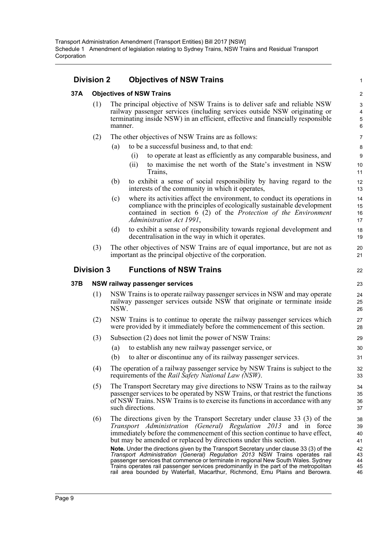### **Division 2 Objectives of NSW Trains**

#### **37A Objectives of NSW Trains**

- (1) The principal objective of NSW Trains is to deliver safe and reliable NSW railway passenger services (including services outside NSW originating or terminating inside NSW) in an efficient, effective and financially responsible manner.
- (2) The other objectives of NSW Trains are as follows:
	- (a) to be a successful business and, to that end:
		- (i) to operate at least as efficiently as any comparable business, and

1

22

- (ii) to maximise the net worth of the State's investment in NSW Trains,
- (b) to exhibit a sense of social responsibility by having regard to the interests of the community in which it operates,
- (c) where its activities affect the environment, to conduct its operations in compliance with the principles of ecologically sustainable development contained in section 6 (2) of the *Protection of the Environment Administration Act 1991*,
- (d) to exhibit a sense of responsibility towards regional development and decentralisation in the way in which it operates.
- (3) The other objectives of NSW Trains are of equal importance, but are not as important as the principal objective of the corporation.

#### **Division 3 Functions of NSW Trains**

#### **37B NSW railway passenger services**

- (1) NSW Trains is to operate railway passenger services in NSW and may operate railway passenger services outside NSW that originate or terminate inside NSW.
- (2) NSW Trains is to continue to operate the railway passenger services which were provided by it immediately before the commencement of this section.
- (3) Subsection (2) does not limit the power of NSW Trains:
	- (a) to establish any new railway passenger service, or
	- (b) to alter or discontinue any of its railway passenger services.
- (4) The operation of a railway passenger service by NSW Trains is subject to the requirements of the *Rail Safety National Law (NSW)*.
- (5) The Transport Secretary may give directions to NSW Trains as to the railway passenger services to be operated by NSW Trains, or that restrict the functions of NSW Trains. NSW Trains is to exercise its functions in accordance with any such directions.
- (6) The directions given by the Transport Secretary under clause 33 (3) of the *Transport Administration (General) Regulation 2013* and in force immediately before the commencement of this section continue to have effect, but may be amended or replaced by directions under this section.

**Note.** Under the directions given by the Transport Secretary under clause 33 (3) of the *Transport Administration (General) Regulation 2013* NSW Trains operates rail passenger services that commence or terminate in regional New South Wales. Sydney Trains operates rail passenger services predominantly in the part of the metropolitan rail area bounded by Waterfall, Macarthur, Richmond, Emu Plains and Berowra.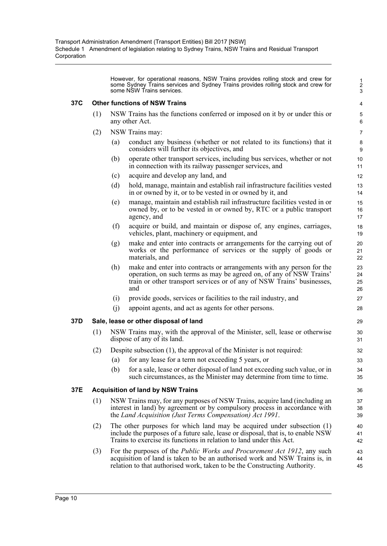However, for operational reasons, NSW Trains provides rolling stock and crew for some Sydney Trains services and Sydney Trains provides rolling stock and crew for some NSW Trains services.

#### **37C Other functions of NSW Trains**

- (1) NSW Trains has the functions conferred or imposed on it by or under this or any other Act.
- (2) NSW Trains may:
	- (a) conduct any business (whether or not related to its functions) that it considers will further its objectives, and
	- (b) operate other transport services, including bus services, whether or not in connection with its railway passenger services, and
	- (c) acquire and develop any land, and
	- (d) hold, manage, maintain and establish rail infrastructure facilities vested in or owned by it, or to be vested in or owned by it, and
	- (e) manage, maintain and establish rail infrastructure facilities vested in or owned by, or to be vested in or owned by, RTC or a public transport agency, and
	- (f) acquire or build, and maintain or dispose of, any engines, carriages, vehicles, plant, machinery or equipment, and
	- (g) make and enter into contracts or arrangements for the carrying out of works or the performance of services or the supply of goods or materials, and
	- (h) make and enter into contracts or arrangements with any person for the operation, on such terms as may be agreed on, of any of NSW Trains' train or other transport services or of any of NSW Trains' businesses, and
	- (i) provide goods, services or facilities to the rail industry, and
	- (j) appoint agents, and act as agents for other persons.

#### **37D Sale, lease or other disposal of land**

- (1) NSW Trains may, with the approval of the Minister, sell, lease or otherwise dispose of any of its land.
- (2) Despite subsection (1), the approval of the Minister is not required:
	- (a) for any lease for a term not exceeding 5 years, or
	- (b) for a sale, lease or other disposal of land not exceeding such value, or in such circumstances, as the Minister may determine from time to time.

#### **37E Acquisition of land by NSW Trains**

- (1) NSW Trains may, for any purposes of NSW Trains, acquire land (including an interest in land) by agreement or by compulsory process in accordance with the *Land Acquisition (Just Terms Compensation) Act 1991*.
- (2) The other purposes for which land may be acquired under subsection (1) include the purposes of a future sale, lease or disposal, that is, to enable NSW Trains to exercise its functions in relation to land under this Act.
- (3) For the purposes of the *Public Works and Procurement Act 1912*, any such acquisition of land is taken to be an authorised work and NSW Trains is, in relation to that authorised work, taken to be the Constructing Authority.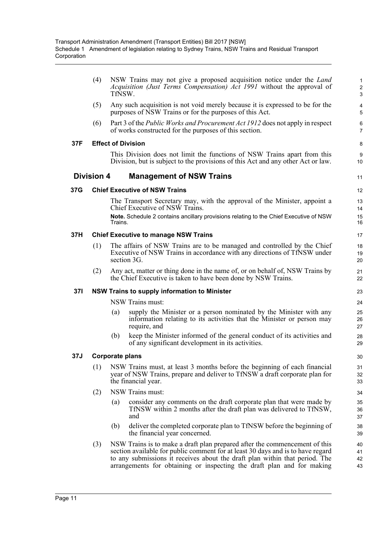|     | (4)               | TfNSW.                 | NSW Trains may not give a proposed acquisition notice under the <i>Land</i><br>Acquisition (Just Terms Compensation) Act 1991 without the approval of                                                                                                                                                                  | $\mathbf{1}$<br>$\overline{c}$<br>3 |
|-----|-------------------|------------------------|------------------------------------------------------------------------------------------------------------------------------------------------------------------------------------------------------------------------------------------------------------------------------------------------------------------------|-------------------------------------|
|     | (5)               |                        | Any such acquisition is not void merely because it is expressed to be for the<br>purposes of NSW Trains or for the purposes of this Act.                                                                                                                                                                               | 4<br>5                              |
|     | (6)               |                        | Part 3 of the <i>Public Works and Procurement Act 1912</i> does not apply in respect<br>of works constructed for the purposes of this section.                                                                                                                                                                         | 6<br>7                              |
| 37F |                   |                        | <b>Effect of Division</b>                                                                                                                                                                                                                                                                                              | 8                                   |
|     |                   |                        | This Division does not limit the functions of NSW Trains apart from this<br>Division, but is subject to the provisions of this Act and any other Act or law.                                                                                                                                                           | 9<br>10                             |
|     | <b>Division 4</b> |                        | <b>Management of NSW Trains</b>                                                                                                                                                                                                                                                                                        | 11                                  |
| 37G |                   |                        | <b>Chief Executive of NSW Trains</b>                                                                                                                                                                                                                                                                                   | 12                                  |
|     |                   |                        | The Transport Secretary may, with the approval of the Minister, appoint a<br>Chief Executive of NSW Trains.                                                                                                                                                                                                            | 13<br>14                            |
|     |                   | Trains.                | Note. Schedule 2 contains ancillary provisions relating to the Chief Executive of NSW                                                                                                                                                                                                                                  | 15<br>16                            |
| 37H |                   |                        | <b>Chief Executive to manage NSW Trains</b>                                                                                                                                                                                                                                                                            | 17                                  |
|     | (1)               |                        | The affairs of NSW Trains are to be managed and controlled by the Chief<br>Executive of NSW Trains in accordance with any directions of TfNSW under<br>section 3G.                                                                                                                                                     | 18<br>19<br>20                      |
|     | (2)               |                        | Any act, matter or thing done in the name of, or on behalf of, NSW Trains by<br>the Chief Executive is taken to have been done by NSW Trains.                                                                                                                                                                          | 21<br>22                            |
| 37I |                   |                        | <b>NSW Trains to supply information to Minister</b>                                                                                                                                                                                                                                                                    | 23                                  |
|     |                   |                        | NSW Trains must:                                                                                                                                                                                                                                                                                                       | 24                                  |
|     |                   | (a)                    | supply the Minister or a person nominated by the Minister with any<br>information relating to its activities that the Minister or person may<br>require, and                                                                                                                                                           | 25<br>26<br>27                      |
|     |                   | (b)                    | keep the Minister informed of the general conduct of its activities and<br>of any significant development in its activities.                                                                                                                                                                                           | 28<br>29                            |
| 37J |                   | <b>Corporate plans</b> |                                                                                                                                                                                                                                                                                                                        | 30                                  |
|     | (1)               |                        | NSW Trains must, at least 3 months before the beginning of each financial<br>year of NSW Trains, prepare and deliver to TfNSW a draft corporate plan for<br>the financial year.                                                                                                                                        | 31<br>32<br>33                      |
|     | (2)               |                        | NSW Trains must:                                                                                                                                                                                                                                                                                                       | 34                                  |
|     |                   | (a)                    | consider any comments on the draft corporate plan that were made by<br>TfNSW within 2 months after the draft plan was delivered to TfNSW,<br>and                                                                                                                                                                       | 35<br>36<br>37                      |
|     |                   | (b)                    | deliver the completed corporate plan to TfNSW before the beginning of<br>the financial year concerned.                                                                                                                                                                                                                 | 38<br>39                            |
|     | (3)               |                        | NSW Trains is to make a draft plan prepared after the commencement of this<br>section available for public comment for at least 30 days and is to have regard<br>to any submissions it receives about the draft plan within that period. The<br>arrangements for obtaining or inspecting the draft plan and for making | 40<br>41<br>42<br>43                |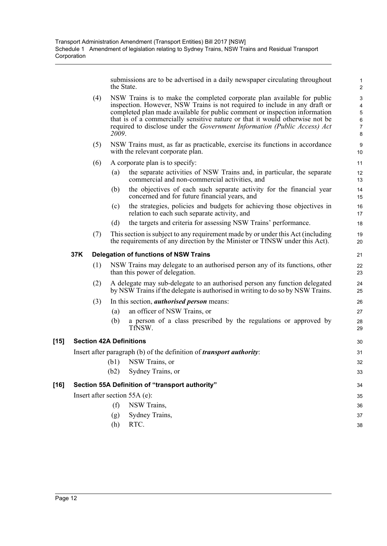submissions are to be advertised in a daily newspaper circulating throughout the State.

1

|        |     |     | the State. |                                                                                                                                                                                                                                                                                                                                                                                                  | 2                                                                            |
|--------|-----|-----|------------|--------------------------------------------------------------------------------------------------------------------------------------------------------------------------------------------------------------------------------------------------------------------------------------------------------------------------------------------------------------------------------------------------|------------------------------------------------------------------------------|
|        |     | (4) | 2009.      | NSW Trains is to make the completed corporate plan available for public<br>inspection. However, NSW Trains is not required to include in any draft or<br>completed plan made available for public comment or inspection information<br>that is of a commercially sensitive nature or that it would otherwise not be<br>required to disclose under the Government Information (Public Access) Act | $\ensuremath{\mathsf{3}}$<br>4<br>$\overline{5}$<br>6<br>$\overline{7}$<br>8 |
|        |     | (5) |            | NSW Trains must, as far as practicable, exercise its functions in accordance<br>with the relevant corporate plan.                                                                                                                                                                                                                                                                                | 9<br>10                                                                      |
|        |     | (6) |            | A corporate plan is to specify:                                                                                                                                                                                                                                                                                                                                                                  | 11                                                                           |
|        |     |     | (a)        | the separate activities of NSW Trains and, in particular, the separate<br>commercial and non-commercial activities, and                                                                                                                                                                                                                                                                          | 12<br>13                                                                     |
|        |     |     | (b)        | the objectives of each such separate activity for the financial year<br>concerned and for future financial years, and                                                                                                                                                                                                                                                                            | 14<br>15                                                                     |
|        |     |     | (c)        | the strategies, policies and budgets for achieving those objectives in<br>relation to each such separate activity, and                                                                                                                                                                                                                                                                           | 16<br>17                                                                     |
|        |     |     | (d)        | the targets and criteria for assessing NSW Trains' performance.                                                                                                                                                                                                                                                                                                                                  | 18                                                                           |
|        |     | (7) |            | This section is subject to any requirement made by or under this Act (including<br>the requirements of any direction by the Minister or TfNSW under this Act).                                                                                                                                                                                                                                   | 19<br>20                                                                     |
|        | 37K |     |            | <b>Delegation of functions of NSW Trains</b>                                                                                                                                                                                                                                                                                                                                                     | 21                                                                           |
|        |     | (1) |            | NSW Trains may delegate to an authorised person any of its functions, other<br>than this power of delegation.                                                                                                                                                                                                                                                                                    | 22<br>23                                                                     |
|        |     | (2) |            | A delegate may sub-delegate to an authorised person any function delegated<br>by NSW Trains if the delegate is authorised in writing to do so by NSW Trains.                                                                                                                                                                                                                                     | 24<br>25                                                                     |
|        |     | (3) |            | In this section, <i>authorised person</i> means:                                                                                                                                                                                                                                                                                                                                                 | 26                                                                           |
|        |     |     | (a)        | an officer of NSW Trains, or                                                                                                                                                                                                                                                                                                                                                                     | 27                                                                           |
|        |     |     | (b)        | a person of a class prescribed by the regulations or approved by<br>TfNSW.                                                                                                                                                                                                                                                                                                                       | 28<br>29                                                                     |
| $[15]$ |     |     |            | <b>Section 42A Definitions</b>                                                                                                                                                                                                                                                                                                                                                                   | 30                                                                           |
|        |     |     |            | Insert after paragraph (b) of the definition of <i>transport authority</i> :                                                                                                                                                                                                                                                                                                                     | 31                                                                           |
|        |     |     | (b1)       | NSW Trains, or                                                                                                                                                                                                                                                                                                                                                                                   | 32                                                                           |
|        |     |     | (b2)       | Sydney Trains, or                                                                                                                                                                                                                                                                                                                                                                                | 33                                                                           |
| $[16]$ |     |     |            | Section 55A Definition of "transport authority"                                                                                                                                                                                                                                                                                                                                                  | 34                                                                           |
|        |     |     |            | Insert after section 55A (e):                                                                                                                                                                                                                                                                                                                                                                    | 35                                                                           |
|        |     |     | (f)        | NSW Trains,                                                                                                                                                                                                                                                                                                                                                                                      | 36                                                                           |
|        |     |     | (g)        | Sydney Trains,                                                                                                                                                                                                                                                                                                                                                                                   | 37                                                                           |
|        |     |     | (h)        | RTC.                                                                                                                                                                                                                                                                                                                                                                                             | 38                                                                           |
|        |     |     |            |                                                                                                                                                                                                                                                                                                                                                                                                  |                                                                              |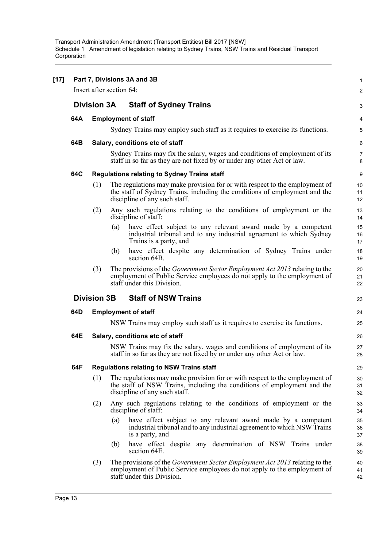|     |                          |     | Part 7, Divisions 3A and 3B                                                                                                                                                                  | $\mathbf{1}$        |
|-----|--------------------------|-----|----------------------------------------------------------------------------------------------------------------------------------------------------------------------------------------------|---------------------|
|     | Insert after section 64: |     |                                                                                                                                                                                              | $\overline{c}$      |
|     | <b>Division 3A</b>       |     | <b>Staff of Sydney Trains</b>                                                                                                                                                                | 3                   |
| 64A |                          |     | <b>Employment of staff</b>                                                                                                                                                                   | 4                   |
|     |                          |     | Sydney Trains may employ such staff as it requires to exercise its functions.                                                                                                                | $\overline{5}$      |
| 64B |                          |     | Salary, conditions etc of staff                                                                                                                                                              | 6                   |
|     |                          |     | Sydney Trains may fix the salary, wages and conditions of employment of its<br>staff in so far as they are not fixed by or under any other Act or law.                                       | $\overline{7}$<br>8 |
| 64C |                          |     | <b>Regulations relating to Sydney Trains staff</b>                                                                                                                                           | 9                   |
|     | (1)                      |     | The regulations may make provision for or with respect to the employment of<br>the staff of Sydney Trains, including the conditions of employment and the<br>discipline of any such staff.   | 10<br>11<br>12      |
|     | (2)                      |     | Any such regulations relating to the conditions of employment or the<br>discipline of staff:                                                                                                 | 13<br>14            |
|     |                          | (a) | have effect subject to any relevant award made by a competent<br>industrial tribunal and to any industrial agreement to which Sydney<br>Trains is a party, and                               | 15<br>16<br>17      |
|     |                          | (b) | have effect despite any determination of Sydney Trains under<br>section 64B.                                                                                                                 | 18<br>19            |
|     | (3)                      |     | The provisions of the <i>Government Sector Employment Act 2013</i> relating to the<br>employment of Public Service employees do not apply to the employment of<br>staff under this Division. | 20<br>21<br>22      |
|     | <b>Division 3B</b>       |     | <b>Staff of NSW Trains</b>                                                                                                                                                                   | 23                  |
| 64D |                          |     | <b>Employment of staff</b>                                                                                                                                                                   | 24                  |
|     |                          |     | NSW Trains may employ such staff as it requires to exercise its functions.                                                                                                                   | 25                  |
| 64E |                          |     | Salary, conditions etc of staff                                                                                                                                                              | 26                  |
|     |                          |     | NSW Trains may fix the salary, wages and conditions of employment of its<br>staff in so far as they are not fixed by or under any other Act or law.                                          | 27<br>28            |
| 64F |                          |     | <b>Regulations relating to NSW Trains staff</b>                                                                                                                                              | 29                  |
|     | (1)                      |     | The regulations may make provision for or with respect to the employment of<br>the staff of NSW Trains, including the conditions of employment and the<br>discipline of any such staff.      | 30<br>31<br>32      |
|     | (2)                      |     | Any such regulations relating to the conditions of employment or the<br>discipline of staff:                                                                                                 | 33<br>34            |
|     |                          | (a) | have effect subject to any relevant award made by a competent<br>industrial tribunal and to any industrial agreement to which NSW Trains<br>is a party, and                                  | 35<br>36<br>37      |
|     |                          | (b) | have effect despite any determination of NSW Trains under<br>section 64E.                                                                                                                    | 38<br>39            |
|     | (3)                      |     | The provisions of the <i>Government Sector Employment Act 2013</i> relating to the<br>employment of Public Service employees do not apply to the employment of<br>staff under this Division. | 40<br>41<br>42      |
|     |                          |     |                                                                                                                                                                                              |                     |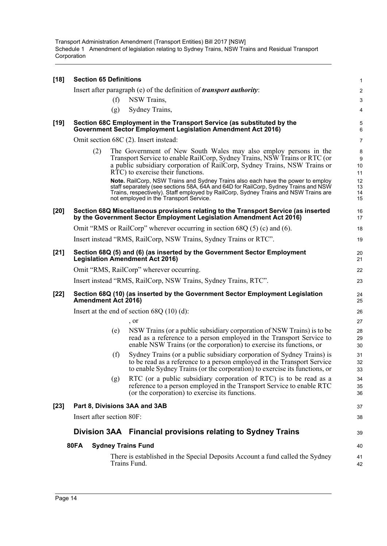| $[18]$ | <b>Section 65 Definitions</b> |     |                                                                                                                                                                                                                                                                                                         | $\mathbf{1}$         |
|--------|-------------------------------|-----|---------------------------------------------------------------------------------------------------------------------------------------------------------------------------------------------------------------------------------------------------------------------------------------------------------|----------------------|
|        |                               |     | Insert after paragraph (e) of the definition of <i>transport authority</i> :                                                                                                                                                                                                                            | $\overline{c}$       |
|        |                               | (f) | NSW Trains,                                                                                                                                                                                                                                                                                             | 3                    |
|        |                               | (g) | Sydney Trains,                                                                                                                                                                                                                                                                                          | 4                    |
| $[19]$ |                               |     | Section 68C Employment in the Transport Service (as substituted by the<br><b>Government Sector Employment Legislation Amendment Act 2016)</b>                                                                                                                                                           | 5<br>6               |
|        |                               |     | Omit section 68C (2). Insert instead:                                                                                                                                                                                                                                                                   | $\overline{7}$       |
|        | (2)                           |     | The Government of New South Wales may also employ persons in the<br>Transport Service to enable RailCorp, Sydney Trains, NSW Trains or RTC (or<br>a public subsidiary corporation of RailCorp, Sydney Trains, NSW Trains or<br>RTC) to exercise their functions.                                        | 8<br>9<br>10<br>11   |
|        |                               |     | Note. RailCorp, NSW Trains and Sydney Trains also each have the power to employ<br>staff separately (see sections 58A, 64A and 64D for RailCorp, Sydney Trains and NSW<br>Trains, respectively). Staff employed by RailCorp, Sydney Trains and NSW Trains are<br>not employed in the Transport Service. | 12<br>13<br>14<br>15 |
| $[20]$ |                               |     | Section 68Q Miscellaneous provisions relating to the Transport Service (as inserted<br>by the Government Sector Employment Legislation Amendment Act 2016)                                                                                                                                              | 16<br>17             |
|        |                               |     | Omit "RMS or RailCorp" wherever occurring in section $68Q(5)$ (c) and (6).                                                                                                                                                                                                                              | 18                   |
|        |                               |     | Insert instead "RMS, RailCorp, NSW Trains, Sydney Trains or RTC".                                                                                                                                                                                                                                       | 19                   |
| $[21]$ |                               |     | Section 68Q (5) and (6) (as inserted by the Government Sector Employment<br><b>Legislation Amendment Act 2016)</b>                                                                                                                                                                                      | 20<br>21             |
|        |                               |     | Omit "RMS, RailCorp" wherever occurring.                                                                                                                                                                                                                                                                | 22                   |
|        |                               |     | Insert instead "RMS, RailCorp, NSW Trains, Sydney Trains, RTC".                                                                                                                                                                                                                                         | 23                   |
| $[22]$ | Amendment Act 2016)           |     | Section 68Q (10) (as inserted by the Government Sector Employment Legislation                                                                                                                                                                                                                           | 24<br>25             |
|        |                               |     | Insert at the end of section $68Q(10)(d)$ :                                                                                                                                                                                                                                                             | 26                   |
|        |                               |     | , or                                                                                                                                                                                                                                                                                                    | 27                   |
|        |                               | (e) | NSW Trains (or a public subsidiary corporation of NSW Trains) is to be<br>read as a reference to a person employed in the Transport Service to<br>enable NSW Trains (or the corporation) to exercise its functions, or                                                                                  | 28<br>29<br>30       |
|        |                               | (f) | Sydney Trains (or a public subsidiary corporation of Sydney Trains) is<br>to be read as a reference to a person employed in the Transport Service<br>to enable Sydney Trains (or the corporation) to exercise its functions, or                                                                         | 31<br>32<br>33       |
|        |                               | (g) | RTC (or a public subsidiary corporation of RTC) is to be read as a<br>reference to a person employed in the Transport Service to enable RTC<br>(or the corporation) to exercise its functions.                                                                                                          | 34<br>35<br>36       |
| $[23]$ | Part 8, Divisions 3AA and 3AB |     |                                                                                                                                                                                                                                                                                                         | 37                   |
|        | Insert after section 80F:     |     |                                                                                                                                                                                                                                                                                                         | 38                   |
|        |                               |     | Division 3AA Financial provisions relating to Sydney Trains                                                                                                                                                                                                                                             | 39                   |
|        | <b>80FA</b>                   |     | <b>Sydney Trains Fund</b>                                                                                                                                                                                                                                                                               | 40                   |
|        |                               |     | There is established in the Special Deposits Account a fund called the Sydney<br>Trains Fund.                                                                                                                                                                                                           | 41<br>42             |
|        |                               |     |                                                                                                                                                                                                                                                                                                         |                      |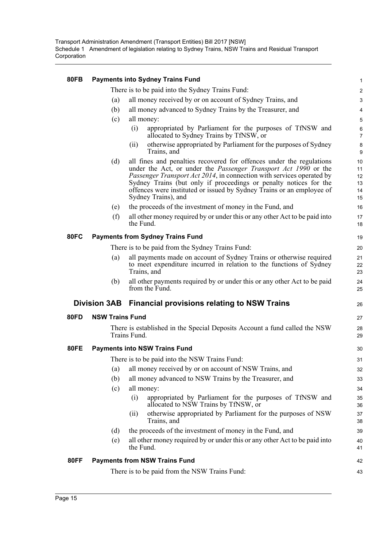| <b>80FB</b> |                        | <b>Payments into Sydney Trains Fund</b>                                                                                                                                                                                                                                                                                                                                                              | $\mathbf{1}$                     |  |  |  |
|-------------|------------------------|------------------------------------------------------------------------------------------------------------------------------------------------------------------------------------------------------------------------------------------------------------------------------------------------------------------------------------------------------------------------------------------------------|----------------------------------|--|--|--|
|             |                        | There is to be paid into the Sydney Trains Fund:                                                                                                                                                                                                                                                                                                                                                     | $\overline{c}$                   |  |  |  |
|             | (a)                    | all money received by or on account of Sydney Trains, and                                                                                                                                                                                                                                                                                                                                            | $\ensuremath{\mathsf{3}}$        |  |  |  |
|             | (b)                    | all money advanced to Sydney Trains by the Treasurer, and                                                                                                                                                                                                                                                                                                                                            |                                  |  |  |  |
|             | (c)                    | all money:                                                                                                                                                                                                                                                                                                                                                                                           | $\overline{5}$                   |  |  |  |
|             |                        | (i)<br>appropriated by Parliament for the purposes of TfNSW and<br>allocated to Sydney Trains by TfNSW, or                                                                                                                                                                                                                                                                                           | 6<br>$\overline{7}$              |  |  |  |
|             |                        | otherwise appropriated by Parliament for the purposes of Sydney<br>(i)<br>Trains, and                                                                                                                                                                                                                                                                                                                | 8<br>9                           |  |  |  |
|             | (d)                    | all fines and penalties recovered for offences under the regulations<br>under the Act, or under the <i>Passenger Transport Act 1990</i> or the<br><i>Passenger Transport Act 2014</i> , in connection with services operated by<br>Sydney Trains (but only if proceedings or penalty notices for the<br>offences were instituted or issued by Sydney Trains or an employee of<br>Sydney Trains), and | 10<br>11<br>12<br>13<br>14<br>15 |  |  |  |
|             | (e)                    | the proceeds of the investment of money in the Fund, and                                                                                                                                                                                                                                                                                                                                             | 16                               |  |  |  |
|             | (f)                    | all other money required by or under this or any other Act to be paid into<br>the Fund.                                                                                                                                                                                                                                                                                                              | 17<br>18                         |  |  |  |
| <b>80FC</b> |                        | <b>Payments from Sydney Trains Fund</b>                                                                                                                                                                                                                                                                                                                                                              | 19                               |  |  |  |
|             |                        | There is to be paid from the Sydney Trains Fund:                                                                                                                                                                                                                                                                                                                                                     | 20                               |  |  |  |
|             | (a)                    | all payments made on account of Sydney Trains or otherwise required<br>to meet expenditure incurred in relation to the functions of Sydney<br>Trains, and                                                                                                                                                                                                                                            | 21<br>22<br>23                   |  |  |  |
|             | (b)                    | all other payments required by or under this or any other Act to be paid<br>from the Fund.                                                                                                                                                                                                                                                                                                           | 24<br>25                         |  |  |  |
|             | <b>Division 3AB</b>    | <b>Financial provisions relating to NSW Trains</b>                                                                                                                                                                                                                                                                                                                                                   | 26                               |  |  |  |
| <b>80FD</b> | <b>NSW Trains Fund</b> |                                                                                                                                                                                                                                                                                                                                                                                                      |                                  |  |  |  |
|             |                        | There is established in the Special Deposits Account a fund called the NSW<br>Trains Fund.                                                                                                                                                                                                                                                                                                           | 28<br>29                         |  |  |  |
| <b>80FE</b> |                        | <b>Payments into NSW Trains Fund</b>                                                                                                                                                                                                                                                                                                                                                                 | 30                               |  |  |  |
|             |                        | There is to be paid into the NSW Trains Fund:                                                                                                                                                                                                                                                                                                                                                        | 31                               |  |  |  |
|             | (a)                    | all money received by or on account of NSW Trains, and                                                                                                                                                                                                                                                                                                                                               | 32                               |  |  |  |
|             | (b)                    | all money advanced to NSW Trains by the Treasurer, and                                                                                                                                                                                                                                                                                                                                               | 33                               |  |  |  |
|             | (c)                    | all money:                                                                                                                                                                                                                                                                                                                                                                                           | 34                               |  |  |  |
|             |                        | appropriated by Parliament for the purposes of TfNSW and<br>(i)<br>allocated to NSW Trains by TfNSW, or                                                                                                                                                                                                                                                                                              | 35<br>36                         |  |  |  |
|             |                        | otherwise appropriated by Parliament for the purposes of NSW<br>(ii)<br>Trains, and                                                                                                                                                                                                                                                                                                                  | 37<br>38                         |  |  |  |
|             | (d)                    | the proceeds of the investment of money in the Fund, and                                                                                                                                                                                                                                                                                                                                             | 39                               |  |  |  |
|             | (e)                    | all other money required by or under this or any other Act to be paid into<br>the Fund.                                                                                                                                                                                                                                                                                                              | 40<br>41                         |  |  |  |
| <b>80FF</b> |                        | <b>Payments from NSW Trains Fund</b>                                                                                                                                                                                                                                                                                                                                                                 | 42                               |  |  |  |
|             |                        | There is to be paid from the NSW Trains Fund:                                                                                                                                                                                                                                                                                                                                                        | 43                               |  |  |  |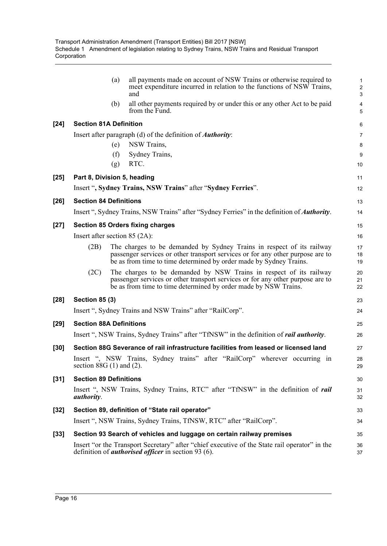|        | (a)                             | all payments made on account of NSW Trains or otherwise required to<br>meet expenditure incurred in relation to the functions of NSW Trains,<br>and                                                                           | $\mathbf{1}$<br>$\sqrt{2}$<br>3 |
|--------|---------------------------------|-------------------------------------------------------------------------------------------------------------------------------------------------------------------------------------------------------------------------------|---------------------------------|
|        | (b)                             | all other payments required by or under this or any other Act to be paid<br>from the Fund.                                                                                                                                    | $\overline{\mathbf{4}}$<br>5    |
| $[24]$ | <b>Section 81A Definition</b>   |                                                                                                                                                                                                                               | $\,6\,$                         |
|        |                                 | Insert after paragraph (d) of the definition of <i>Authority</i> :                                                                                                                                                            | $\overline{7}$                  |
|        | (e)                             | NSW Trains,                                                                                                                                                                                                                   | 8                               |
|        | (f)                             | Sydney Trains,                                                                                                                                                                                                                | 9                               |
|        | (g)                             | RTC.                                                                                                                                                                                                                          | 10                              |
| $[25]$ | Part 8, Division 5, heading     |                                                                                                                                                                                                                               | 11                              |
|        |                                 | Insert ", Sydney Trains, NSW Trains" after "Sydney Ferries".                                                                                                                                                                  | 12                              |
| $[26]$ | <b>Section 84 Definitions</b>   |                                                                                                                                                                                                                               | 13                              |
|        |                                 | Insert ", Sydney Trains, NSW Trains" after "Sydney Ferries" in the definition of <i>Authority</i> .                                                                                                                           | 14                              |
| $[27]$ |                                 | <b>Section 85 Orders fixing charges</b>                                                                                                                                                                                       | 15                              |
|        | Insert after section $85$ (2A): |                                                                                                                                                                                                                               | 16                              |
|        | (2B)                            | The charges to be demanded by Sydney Trains in respect of its railway<br>passenger services or other transport services or for any other purpose are to<br>be as from time to time determined by order made by Sydney Trains. | 17<br>18<br>19                  |
|        | (2C)                            | The charges to be demanded by NSW Trains in respect of its railway<br>passenger services or other transport services or for any other purpose are to<br>be as from time to time determined by order made by NSW Trains.       | 20<br>21<br>22                  |
| $[28]$ | <b>Section 85 (3)</b>           |                                                                                                                                                                                                                               | 23                              |
|        |                                 | Insert ", Sydney Trains and NSW Trains" after "RailCorp".                                                                                                                                                                     | 24                              |
| $[29]$ | <b>Section 88A Definitions</b>  |                                                                                                                                                                                                                               | 25                              |
|        |                                 | Insert ", NSW Trains, Sydney Trains" after "TfNSW" in the definition of <i>rail authority</i> .                                                                                                                               | 26                              |
| $[30]$ |                                 | Section 88G Severance of rail infrastructure facilities from leased or licensed land                                                                                                                                          | 27                              |
|        | section $88G(1)$ and $(2)$ .    | Insert ", NSW Trains, Sydney trains" after "RailCorp" wherever occurring in                                                                                                                                                   | 28<br>29                        |
| $[31]$ | <b>Section 89 Definitions</b>   |                                                                                                                                                                                                                               | 30                              |
|        | <i>authority.</i>               | Insert ", NSW Trains, Sydney Trains, RTC" after "TfNSW" in the definition of <i>rail</i>                                                                                                                                      | 31<br>32                        |
| $[32]$ |                                 | Section 89, definition of "State rail operator"                                                                                                                                                                               | 33                              |
|        |                                 | Insert ", NSW Trains, Sydney Trains, TfNSW, RTC" after "RailCorp".                                                                                                                                                            | 34                              |
| $[33]$ |                                 | Section 93 Search of vehicles and luggage on certain railway premises                                                                                                                                                         | 35                              |
|        |                                 | Insert "or the Transport Secretary" after "chief executive of the State rail operator" in the<br>definition of <i>authorised officer</i> in section 93 (6).                                                                   | 36<br>37                        |
|        |                                 |                                                                                                                                                                                                                               |                                 |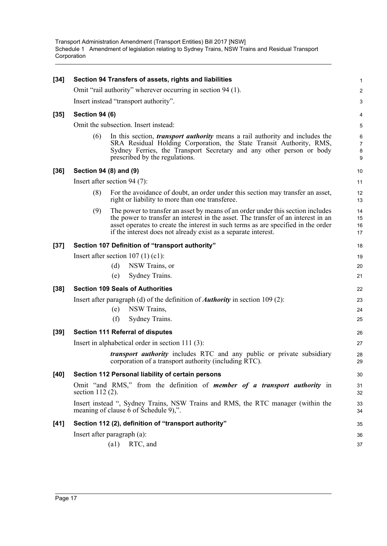| $[34]$ |                                       | Section 94 Transfers of assets, rights and liabilities                                                                                                                                                                                                                                                                      | 1                             |  |  |  |  |
|--------|---------------------------------------|-----------------------------------------------------------------------------------------------------------------------------------------------------------------------------------------------------------------------------------------------------------------------------------------------------------------------------|-------------------------------|--|--|--|--|
|        |                                       | Omit "rail authority" wherever occurring in section 94 (1).                                                                                                                                                                                                                                                                 | $\boldsymbol{2}$              |  |  |  |  |
|        | Insert instead "transport authority". |                                                                                                                                                                                                                                                                                                                             |                               |  |  |  |  |
| $[35]$ | <b>Section 94 (6)</b>                 |                                                                                                                                                                                                                                                                                                                             | $\overline{\mathbf{4}}$       |  |  |  |  |
|        | Omit the subsection. Insert instead:  |                                                                                                                                                                                                                                                                                                                             |                               |  |  |  |  |
|        | (6)                                   | In this section, <i>transport authority</i> means a rail authority and includes the<br>SRA Residual Holding Corporation, the State Transit Authority, RMS,<br>Sydney Ferries, the Transport Secretary and any other person or body<br>prescribed by the regulations.                                                        | 6<br>$\overline{7}$<br>8<br>9 |  |  |  |  |
| $[36]$ |                                       | Section 94 (8) and (9)                                                                                                                                                                                                                                                                                                      | 10                            |  |  |  |  |
|        |                                       | Insert after section 94 $(7)$ :                                                                                                                                                                                                                                                                                             | 11                            |  |  |  |  |
|        | (8)                                   | For the avoidance of doubt, an order under this section may transfer an asset,<br>right or liability to more than one transferee.                                                                                                                                                                                           | 12<br>13                      |  |  |  |  |
|        | (9)                                   | The power to transfer an asset by means of an order under this section includes<br>the power to transfer an interest in the asset. The transfer of an interest in an<br>asset operates to create the interest in such terms as are specified in the order<br>if the interest does not already exist as a separate interest. | 14<br>15<br>16<br>17          |  |  |  |  |
| $[37]$ |                                       | Section 107 Definition of "transport authority"                                                                                                                                                                                                                                                                             | 18                            |  |  |  |  |
|        | Insert after section $107(1)(c1)$ :   |                                                                                                                                                                                                                                                                                                                             |                               |  |  |  |  |
|        |                                       | NSW Trains, or<br>(d)                                                                                                                                                                                                                                                                                                       | 20                            |  |  |  |  |
|        |                                       | Sydney Trains.<br>(e)                                                                                                                                                                                                                                                                                                       | 21                            |  |  |  |  |
| $[38]$ |                                       | <b>Section 109 Seals of Authorities</b>                                                                                                                                                                                                                                                                                     | 22                            |  |  |  |  |
|        |                                       | Insert after paragraph (d) of the definition of <b>Authority</b> in section 109 (2):                                                                                                                                                                                                                                        | 23                            |  |  |  |  |
|        |                                       | NSW Trains,<br>(e)                                                                                                                                                                                                                                                                                                          | 24                            |  |  |  |  |
|        |                                       | (f)<br>Sydney Trains.                                                                                                                                                                                                                                                                                                       | 25                            |  |  |  |  |
| $[39]$ |                                       | <b>Section 111 Referral of disputes</b>                                                                                                                                                                                                                                                                                     | 26                            |  |  |  |  |
|        |                                       | Insert in alphabetical order in section $111(3)$ :                                                                                                                                                                                                                                                                          | 27                            |  |  |  |  |
|        |                                       | transport authority includes RTC and any public or private subsidiary<br>corporation of a transport authority (including RTC).                                                                                                                                                                                              | 28<br>29                      |  |  |  |  |
| $[40]$ |                                       | Section 112 Personal liability of certain persons                                                                                                                                                                                                                                                                           | 30                            |  |  |  |  |
|        |                                       | Omit "and RMS," from the definition of <i>member of a transport authority</i> in<br>section $112(2)$ .                                                                                                                                                                                                                      |                               |  |  |  |  |
|        |                                       | Insert instead ", Sydney Trains, NSW Trains and RMS, the RTC manager (within the<br>meaning of clause 6 of Schedule 9),".                                                                                                                                                                                                   | 33<br>34                      |  |  |  |  |
| $[41]$ |                                       | Section 112 (2), definition of "transport authority"                                                                                                                                                                                                                                                                        | 35                            |  |  |  |  |
|        |                                       | Insert after paragraph (a):                                                                                                                                                                                                                                                                                                 | 36                            |  |  |  |  |
|        |                                       | $\left( a1\right)$<br>RTC, and                                                                                                                                                                                                                                                                                              | 37                            |  |  |  |  |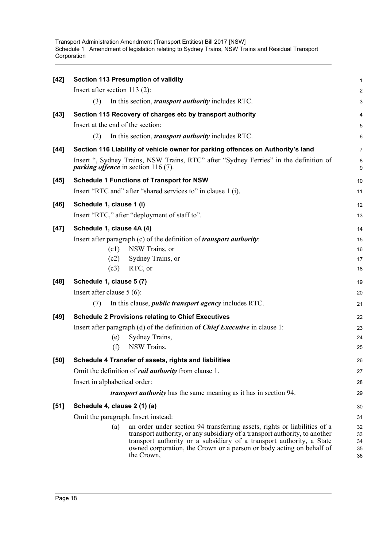| $[42]$ | <b>Section 113 Presumption of validity</b>                                                                                                                                                                                                                                                                                     | $\mathbf{1}$               |  |  |  |
|--------|--------------------------------------------------------------------------------------------------------------------------------------------------------------------------------------------------------------------------------------------------------------------------------------------------------------------------------|----------------------------|--|--|--|
|        | Insert after section 113 $(2)$ :                                                                                                                                                                                                                                                                                               | $\overline{2}$             |  |  |  |
|        | In this section, <i>transport authority</i> includes RTC.<br>(3)                                                                                                                                                                                                                                                               | 3                          |  |  |  |
| $[43]$ | Section 115 Recovery of charges etc by transport authority                                                                                                                                                                                                                                                                     | 4                          |  |  |  |
|        | Insert at the end of the section:                                                                                                                                                                                                                                                                                              | 5                          |  |  |  |
|        | (2)<br>In this section, <i>transport authority</i> includes RTC.                                                                                                                                                                                                                                                               | 6                          |  |  |  |
| $[44]$ | Section 116 Liability of vehicle owner for parking offences on Authority's land                                                                                                                                                                                                                                                | $\overline{7}$             |  |  |  |
|        | Insert ", Sydney Trains, NSW Trains, RTC" after "Sydney Ferries" in the definition of<br><i>parking offence</i> in section $116(7)$ .                                                                                                                                                                                          | 8<br>9                     |  |  |  |
| $[45]$ | <b>Schedule 1 Functions of Transport for NSW</b>                                                                                                                                                                                                                                                                               | 10                         |  |  |  |
|        | Insert "RTC and" after "shared services to" in clause 1 (i).                                                                                                                                                                                                                                                                   | 11                         |  |  |  |
| $[46]$ | Schedule 1, clause 1 (i)                                                                                                                                                                                                                                                                                                       | 12                         |  |  |  |
|        | Insert "RTC," after "deployment of staff to".                                                                                                                                                                                                                                                                                  |                            |  |  |  |
| $[47]$ | Schedule 1, clause 4A (4)                                                                                                                                                                                                                                                                                                      | 14                         |  |  |  |
|        | Insert after paragraph (c) of the definition of <i>transport authority</i> :                                                                                                                                                                                                                                                   | 15                         |  |  |  |
|        | (c1)<br>NSW Trains, or                                                                                                                                                                                                                                                                                                         | 16                         |  |  |  |
|        | Sydney Trains, or<br>(c2)                                                                                                                                                                                                                                                                                                      | 17                         |  |  |  |
|        | RTC, or<br>(c3)                                                                                                                                                                                                                                                                                                                | 18                         |  |  |  |
| $[48]$ | Schedule 1, clause 5 (7)                                                                                                                                                                                                                                                                                                       | 19                         |  |  |  |
|        | Insert after clause $5(6)$ :                                                                                                                                                                                                                                                                                                   | 20                         |  |  |  |
|        | In this clause, <i>public transport agency</i> includes RTC.<br>(7)                                                                                                                                                                                                                                                            | 21                         |  |  |  |
| $[49]$ | <b>Schedule 2 Provisions relating to Chief Executives</b>                                                                                                                                                                                                                                                                      | 22                         |  |  |  |
|        | Insert after paragraph (d) of the definition of <i>Chief Executive</i> in clause 1:                                                                                                                                                                                                                                            | 23                         |  |  |  |
|        | Sydney Trains,<br>(e)                                                                                                                                                                                                                                                                                                          | 24                         |  |  |  |
|        | NSW Trains.<br>(f)                                                                                                                                                                                                                                                                                                             | 25                         |  |  |  |
| $[50]$ | Schedule 4 Transfer of assets, rights and liabilities                                                                                                                                                                                                                                                                          | 26                         |  |  |  |
|        | Omit the definition of <i>rail authority</i> from clause 1.                                                                                                                                                                                                                                                                    | 27                         |  |  |  |
|        | Insert in alphabetical order:                                                                                                                                                                                                                                                                                                  | 28                         |  |  |  |
|        | <i>transport authority</i> has the same meaning as it has in section 94.                                                                                                                                                                                                                                                       | 29                         |  |  |  |
| $[51]$ | Schedule 4, clause 2 (1) (a)                                                                                                                                                                                                                                                                                                   | 30                         |  |  |  |
|        | Omit the paragraph. Insert instead:                                                                                                                                                                                                                                                                                            | 31                         |  |  |  |
|        | an order under section 94 transferring assets, rights or liabilities of a<br>(a)<br>transport authority, or any subsidiary of a transport authority, to another<br>transport authority or a subsidiary of a transport authority, a State<br>owned corporation, the Crown or a person or body acting on behalf of<br>the Crown, | 32<br>33<br>34<br>35<br>36 |  |  |  |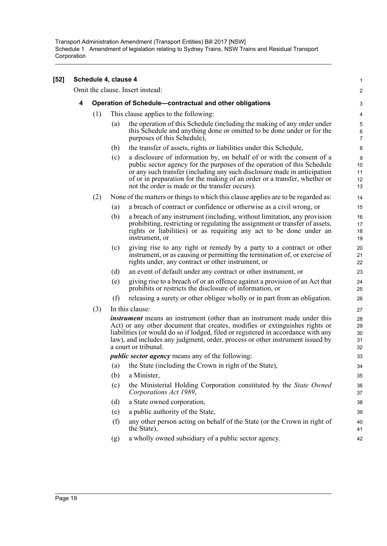|   |     | Schedule 4, clause 4 |                                                                                                                                                                                                                                                                                                                                                              | 1                                  |
|---|-----|----------------------|--------------------------------------------------------------------------------------------------------------------------------------------------------------------------------------------------------------------------------------------------------------------------------------------------------------------------------------------------------------|------------------------------------|
|   |     |                      | Omit the clause. Insert instead:                                                                                                                                                                                                                                                                                                                             | $\overline{2}$                     |
| 4 |     |                      | Operation of Schedule-contractual and other obligations                                                                                                                                                                                                                                                                                                      | 3                                  |
|   | (1) |                      | This clause applies to the following:                                                                                                                                                                                                                                                                                                                        | 4                                  |
|   |     | (a)                  | the operation of this Schedule (including the making of any order under<br>this Schedule and anything done or omitted to be done under or for the<br>purposes of this Schedule),                                                                                                                                                                             | $\mathbf 5$<br>6<br>$\overline{7}$ |
|   |     | (b)                  | the transfer of assets, rights or liabilities under this Schedule,                                                                                                                                                                                                                                                                                           | 8                                  |
|   |     | (c)                  | a disclosure of information by, on behalf of or with the consent of a<br>public sector agency for the purposes of the operation of this Schedule<br>or any such transfer (including any such disclosure made in anticipation<br>of or in preparation for the making of an order or a transfer, whether or<br>not the order is made or the transfer occurs).  | 9<br>10<br>11<br>12<br>13          |
|   | (2) |                      | None of the matters or things to which this clause applies are to be regarded as:                                                                                                                                                                                                                                                                            | 14                                 |
|   |     | (a)                  | a breach of contract or confidence or otherwise as a civil wrong, or                                                                                                                                                                                                                                                                                         | 15                                 |
|   |     | (b)                  | a breach of any instrument (including, without limitation, any provision<br>prohibiting, restricting or regulating the assignment or transfer of assets,<br>rights or liabilities) or as requiring any act to be done under an<br>instrument, or                                                                                                             | 16<br>17<br>18<br>19               |
|   |     | (c)                  | giving rise to any right or remedy by a party to a contract or other<br>instrument, or as causing or permitting the termination of, or exercise of<br>rights under, any contract or other instrument, or                                                                                                                                                     | 20<br>21<br>22                     |
|   |     | (d)                  | an event of default under any contract or other instrument, or                                                                                                                                                                                                                                                                                               | 23                                 |
|   |     | (e)                  | giving rise to a breach of or an offence against a provision of an Act that<br>prohibits or restricts the disclosure of information, or                                                                                                                                                                                                                      | 24<br>25                           |
|   |     | (f)                  | releasing a surety or other obligee wholly or in part from an obligation.                                                                                                                                                                                                                                                                                    | 26                                 |
|   | (3) |                      | In this clause:                                                                                                                                                                                                                                                                                                                                              | 27                                 |
|   |     |                      | <i>instrument</i> means an instrument (other than an instrument made under this<br>Act) or any other document that creates, modifies or extinguishes rights or<br>liabilities (or would do so if lodged, filed or registered in accordance with any<br>law), and includes any judgment, order, process or other instrument issued by<br>a court or tribunal. | 28<br>29<br>30<br>31<br>32         |
|   |     |                      | <i>public sector agency</i> means any of the following:                                                                                                                                                                                                                                                                                                      | 33                                 |
|   |     |                      | (a) the State (including the Crown in right of the State),                                                                                                                                                                                                                                                                                                   | 34                                 |
|   |     | (b)                  | a Minister,                                                                                                                                                                                                                                                                                                                                                  | 35                                 |
|   |     | (c)                  | the Ministerial Holding Corporation constituted by the State Owned<br>Corporations Act 1989,                                                                                                                                                                                                                                                                 | 36<br>37                           |
|   |     | (d)                  | a State owned corporation,                                                                                                                                                                                                                                                                                                                                   | 38                                 |
|   |     | (e)                  | a public authority of the State,                                                                                                                                                                                                                                                                                                                             | 39                                 |
|   |     | (f)                  | any other person acting on behalf of the State (or the Crown in right of<br>the State),                                                                                                                                                                                                                                                                      | 40<br>41                           |
|   |     | (g)                  | a wholly owned subsidiary of a public sector agency.                                                                                                                                                                                                                                                                                                         | 42                                 |

**[52]**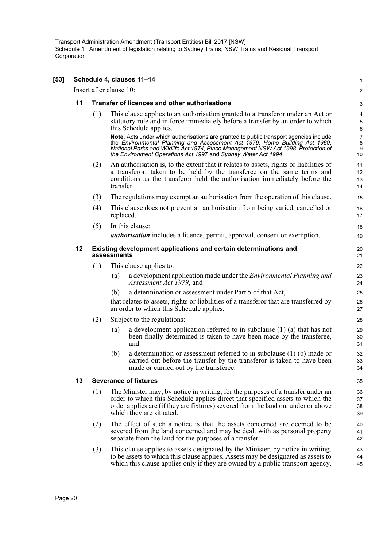| [53] |    |                                                                                 |           | Schedule 4, clauses 11-14                                                                                                                                                                                                                                                                                                                                            | 1                                               |  |
|------|----|---------------------------------------------------------------------------------|-----------|----------------------------------------------------------------------------------------------------------------------------------------------------------------------------------------------------------------------------------------------------------------------------------------------------------------------------------------------------------------------|-------------------------------------------------|--|
|      |    | Insert after clause 10:                                                         |           |                                                                                                                                                                                                                                                                                                                                                                      | 2                                               |  |
|      | 11 |                                                                                 |           | Transfer of licences and other authorisations                                                                                                                                                                                                                                                                                                                        | 3                                               |  |
|      |    | (1)                                                                             |           | This clause applies to an authorisation granted to a transferor under an Act or<br>statutory rule and in force immediately before a transfer by an order to which<br>this Schedule applies.<br>Note. Acts under which authorisations are granted to public transport agencies include<br>the Environmental Planning and Assessment Act 1979, Home Building Act 1989, | 4<br>$\overline{5}$<br>6<br>$\overline{7}$<br>8 |  |
|      |    |                                                                                 |           | National Parks and Wildlife Act 1974, Place Management NSW Act 1998, Protection of<br>the Environment Operations Act 1997 and Sydney Water Act 1994.                                                                                                                                                                                                                 | 9<br>10                                         |  |
|      |    | (2)                                                                             | transfer. | An authorisation is, to the extent that it relates to assets, rights or liabilities of<br>a transferor, taken to be held by the transferee on the same terms and<br>conditions as the transferor held the authorisation immediately before the                                                                                                                       | 11<br>12<br>13<br>14                            |  |
|      |    | (3)                                                                             |           | The regulations may exempt an authorisation from the operation of this clause.                                                                                                                                                                                                                                                                                       | 15                                              |  |
|      |    | (4)                                                                             | replaced. | This clause does not prevent an authorisation from being varied, cancelled or                                                                                                                                                                                                                                                                                        | 16<br>17                                        |  |
|      |    | (5)                                                                             |           | In this clause:                                                                                                                                                                                                                                                                                                                                                      | 18                                              |  |
|      |    |                                                                                 |           | <i>authorisation</i> includes a licence, permit, approval, consent or exemption.                                                                                                                                                                                                                                                                                     | 19                                              |  |
|      | 12 | Existing development applications and certain determinations and<br>assessments |           |                                                                                                                                                                                                                                                                                                                                                                      |                                                 |  |
|      |    | (1)                                                                             |           | This clause applies to:                                                                                                                                                                                                                                                                                                                                              | 22                                              |  |
|      |    |                                                                                 | (a)       | a development application made under the <i>Environmental Planning and</i><br>Assessment Act 1979, and                                                                                                                                                                                                                                                               | 23<br>24                                        |  |
|      |    |                                                                                 | (b)       | a determination or assessment under Part 5 of that Act,                                                                                                                                                                                                                                                                                                              | 25                                              |  |
|      |    |                                                                                 |           | that relates to assets, rights or liabilities of a transferor that are transferred by<br>an order to which this Schedule applies.                                                                                                                                                                                                                                    | 26<br>27                                        |  |
|      |    | (2)                                                                             |           | Subject to the regulations:                                                                                                                                                                                                                                                                                                                                          | 28                                              |  |
|      |    |                                                                                 | (a)       | a development application referred to in subclause $(1)$ $(a)$ that has not<br>been finally determined is taken to have been made by the transferee,<br>and                                                                                                                                                                                                          | 29<br>30<br>31                                  |  |
|      |    |                                                                                 | (b)       | a determination or assessment referred to in subclause $(1)$ (b) made or<br>carried out before the transfer by the transferor is taken to have been<br>made or carried out by the transferee.                                                                                                                                                                        | 32<br>33<br>34                                  |  |
|      | 13 |                                                                                 |           | <b>Severance of fixtures</b>                                                                                                                                                                                                                                                                                                                                         | 35                                              |  |
|      |    | (1)                                                                             |           | The Minister may, by notice in writing, for the purposes of a transfer under an<br>order to which this Schedule applies direct that specified assets to which the<br>order applies are (if they are fixtures) severed from the land on, under or above<br>which they are situated.                                                                                   | 36<br>37<br>38<br>39                            |  |
|      |    | (2)                                                                             |           | The effect of such a notice is that the assets concerned are deemed to be<br>severed from the land concerned and may be dealt with as personal property<br>separate from the land for the purposes of a transfer.                                                                                                                                                    | 40<br>41<br>42                                  |  |
|      |    | (3)                                                                             |           | This clause applies to assets designated by the Minister, by notice in writing,<br>to be assets to which this clause applies. Assets may be designated as assets to<br>which this clause applies only if they are owned by a public transport agency.                                                                                                                | 43<br>44<br>45                                  |  |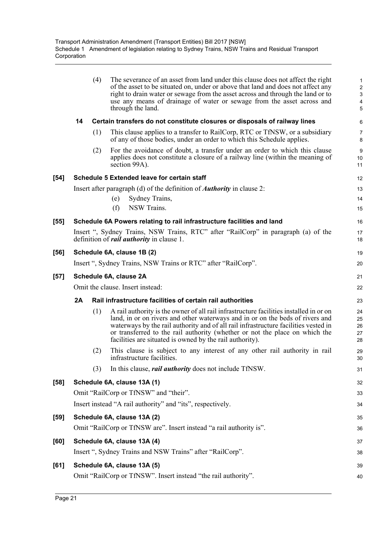|        |                        | (4) | The severance of an asset from land under this clause does not affect the right<br>of the asset to be situated on, under or above that land and does not affect any<br>right to drain water or sewage from the asset across and through the land or to<br>use any means of drainage of water or sewage from the asset across and<br>through the land.                                                     | 1<br>$\overline{\mathbf{c}}$<br>3<br>4<br>5 |  |
|--------|------------------------|-----|-----------------------------------------------------------------------------------------------------------------------------------------------------------------------------------------------------------------------------------------------------------------------------------------------------------------------------------------------------------------------------------------------------------|---------------------------------------------|--|
|        | 14                     |     | Certain transfers do not constitute closures or disposals of railway lines                                                                                                                                                                                                                                                                                                                                | 6                                           |  |
|        |                        | (1) | This clause applies to a transfer to RailCorp, RTC or TfNSW, or a subsidiary<br>of any of those bodies, under an order to which this Schedule applies.                                                                                                                                                                                                                                                    | 7<br>8                                      |  |
|        |                        | (2) | For the avoidance of doubt, a transfer under an order to which this clause<br>applies does not constitute a closure of a railway line (within the meaning of<br>section 99A).                                                                                                                                                                                                                             | 9<br>10<br>11                               |  |
| $[54]$ |                        |     | Schedule 5 Extended leave for certain staff                                                                                                                                                                                                                                                                                                                                                               | 12                                          |  |
|        |                        |     | Insert after paragraph (d) of the definition of <b><i>Authority</i></b> in clause 2:                                                                                                                                                                                                                                                                                                                      | 13                                          |  |
|        |                        |     | Sydney Trains,<br>(e)                                                                                                                                                                                                                                                                                                                                                                                     | 14                                          |  |
|        |                        |     | (f)<br>NSW Trains.                                                                                                                                                                                                                                                                                                                                                                                        | 15                                          |  |
| $[55]$ |                        |     | Schedule 6A Powers relating to rail infrastructure facilities and land                                                                                                                                                                                                                                                                                                                                    | 16                                          |  |
|        |                        |     | Insert ", Sydney Trains, NSW Trains, RTC" after "RailCorp" in paragraph (a) of the<br>definition of <i>rail authority</i> in clause 1.                                                                                                                                                                                                                                                                    | 17<br>18                                    |  |
| $[56]$ |                        |     | Schedule 6A, clause 1B (2)                                                                                                                                                                                                                                                                                                                                                                                | 19                                          |  |
|        |                        |     | Insert ", Sydney Trains, NSW Trains or RTC" after "RailCorp".                                                                                                                                                                                                                                                                                                                                             | 20                                          |  |
| $[57]$ | Schedule 6A, clause 2A |     |                                                                                                                                                                                                                                                                                                                                                                                                           |                                             |  |
|        |                        |     | Omit the clause. Insert instead:                                                                                                                                                                                                                                                                                                                                                                          | 22                                          |  |
|        | 2A                     |     | Rail infrastructure facilities of certain rail authorities                                                                                                                                                                                                                                                                                                                                                | 23                                          |  |
|        |                        | (1) | A rail authority is the owner of all rail infrastructure facilities installed in or on<br>land, in or on rivers and other waterways and in or on the beds of rivers and<br>waterways by the rail authority and of all rail infrastructure facilities vested in<br>or transferred to the rail authority (whether or not the place on which the<br>facilities are situated is owned by the rail authority). | 24<br>25<br>26<br>27<br>28                  |  |
|        |                        | (2) | This clause is subject to any interest of any other rail authority in rail<br>infrastructure facilities.                                                                                                                                                                                                                                                                                                  | 29<br>30                                    |  |
|        |                        | (3) | In this clause, <i>rail authority</i> does not include TfNSW.                                                                                                                                                                                                                                                                                                                                             | 31                                          |  |
| $[58]$ |                        |     | Schedule 6A, clause 13A (1)                                                                                                                                                                                                                                                                                                                                                                               | 32                                          |  |
|        |                        |     | Omit "RailCorp or TfNSW" and "their".                                                                                                                                                                                                                                                                                                                                                                     | 33                                          |  |
|        |                        |     | Insert instead "A rail authority" and "its", respectively.                                                                                                                                                                                                                                                                                                                                                | 34                                          |  |
| $[59]$ |                        |     | Schedule 6A, clause 13A (2)                                                                                                                                                                                                                                                                                                                                                                               | 35                                          |  |
|        |                        |     | Omit "RailCorp or TfNSW are". Insert instead "a rail authority is".                                                                                                                                                                                                                                                                                                                                       | 36                                          |  |
| [60]   |                        |     | Schedule 6A, clause 13A (4)                                                                                                                                                                                                                                                                                                                                                                               | 37                                          |  |
|        |                        |     | Insert ", Sydney Trains and NSW Trains" after "RailCorp".                                                                                                                                                                                                                                                                                                                                                 | 38                                          |  |
| [61]   |                        |     | Schedule 6A, clause 13A (5)                                                                                                                                                                                                                                                                                                                                                                               | 39                                          |  |
|        |                        |     | Omit "RailCorp or TfNSW". Insert instead "the rail authority".                                                                                                                                                                                                                                                                                                                                            | 40                                          |  |
|        |                        |     |                                                                                                                                                                                                                                                                                                                                                                                                           |                                             |  |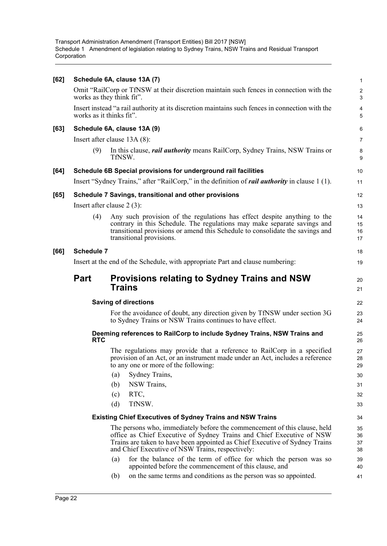| Omit "RailCorp or TfNSW at their discretion maintain such fences in connection with the<br>works as they think fit".<br>Insert instead "a rail authority at its discretion maintains such fences in connection with the<br>works as it thinks fit".<br>[63]<br>Schedule 6A, clause 13A (9)<br>Insert after clause $13A(8)$ :<br>(9)<br>TfNSW.<br>Schedule 6B Special provisions for underground rail facilities<br>[64]<br>Insert "Sydney Trains," after "RailCorp," in the definition of <i>rail authority</i> in clause 1 (1).<br>Schedule 7 Savings, transitional and other provisions<br>[65]<br>Insert after clause $2(3)$ :<br>(4)<br>transitional provisions.<br>Schedule 7<br>[66]<br>Insert at the end of the Schedule, with appropriate Part and clause numbering:<br><b>Provisions relating to Sydney Trains and NSW</b><br><b>Part</b><br><b>Trains</b><br><b>Saving of directions</b><br>For the avoidance of doubt, any direction given by TfNSW under section 3G<br>to Sydney Trains or NSW Trains continues to have effect.<br>Deeming references to RailCorp to include Sydney Trains, NSW Trains and<br><b>RTC</b><br>to any one or more of the following:<br>Sydney Trains,<br>(a)<br>NSW Trains,<br>(b)<br>RTC,<br>(c)<br>TfNSW.<br>(d)<br><b>Existing Chief Executives of Sydney Trains and NSW Trains</b><br>The persons who, immediately before the commencement of this clause, held<br>and Chief Executive of NSW Trains, respectively:<br>(a)<br>appointed before the commencement of this clause, and<br>on the same terms and conditions as the person was so appointed.<br>(b) | [62] | Schedule 6A, clause 13A (7)                                                                                                                                                                                                           | $\mathbf{1}$          |
|-------------------------------------------------------------------------------------------------------------------------------------------------------------------------------------------------------------------------------------------------------------------------------------------------------------------------------------------------------------------------------------------------------------------------------------------------------------------------------------------------------------------------------------------------------------------------------------------------------------------------------------------------------------------------------------------------------------------------------------------------------------------------------------------------------------------------------------------------------------------------------------------------------------------------------------------------------------------------------------------------------------------------------------------------------------------------------------------------------------------------------------------------------------------------------------------------------------------------------------------------------------------------------------------------------------------------------------------------------------------------------------------------------------------------------------------------------------------------------------------------------------------------------------------------------------------------------------------------------------|------|---------------------------------------------------------------------------------------------------------------------------------------------------------------------------------------------------------------------------------------|-----------------------|
|                                                                                                                                                                                                                                                                                                                                                                                                                                                                                                                                                                                                                                                                                                                                                                                                                                                                                                                                                                                                                                                                                                                                                                                                                                                                                                                                                                                                                                                                                                                                                                                                             |      |                                                                                                                                                                                                                                       | $\boldsymbol{2}$<br>3 |
|                                                                                                                                                                                                                                                                                                                                                                                                                                                                                                                                                                                                                                                                                                                                                                                                                                                                                                                                                                                                                                                                                                                                                                                                                                                                                                                                                                                                                                                                                                                                                                                                             |      |                                                                                                                                                                                                                                       | 4<br>5                |
|                                                                                                                                                                                                                                                                                                                                                                                                                                                                                                                                                                                                                                                                                                                                                                                                                                                                                                                                                                                                                                                                                                                                                                                                                                                                                                                                                                                                                                                                                                                                                                                                             |      |                                                                                                                                                                                                                                       | 6                     |
|                                                                                                                                                                                                                                                                                                                                                                                                                                                                                                                                                                                                                                                                                                                                                                                                                                                                                                                                                                                                                                                                                                                                                                                                                                                                                                                                                                                                                                                                                                                                                                                                             |      |                                                                                                                                                                                                                                       | $\overline{7}$        |
|                                                                                                                                                                                                                                                                                                                                                                                                                                                                                                                                                                                                                                                                                                                                                                                                                                                                                                                                                                                                                                                                                                                                                                                                                                                                                                                                                                                                                                                                                                                                                                                                             |      | In this clause, <i>rail authority</i> means RailCorp, Sydney Trains, NSW Trains or                                                                                                                                                    | 8<br>9                |
|                                                                                                                                                                                                                                                                                                                                                                                                                                                                                                                                                                                                                                                                                                                                                                                                                                                                                                                                                                                                                                                                                                                                                                                                                                                                                                                                                                                                                                                                                                                                                                                                             |      |                                                                                                                                                                                                                                       | 10                    |
|                                                                                                                                                                                                                                                                                                                                                                                                                                                                                                                                                                                                                                                                                                                                                                                                                                                                                                                                                                                                                                                                                                                                                                                                                                                                                                                                                                                                                                                                                                                                                                                                             |      |                                                                                                                                                                                                                                       | 11                    |
|                                                                                                                                                                                                                                                                                                                                                                                                                                                                                                                                                                                                                                                                                                                                                                                                                                                                                                                                                                                                                                                                                                                                                                                                                                                                                                                                                                                                                                                                                                                                                                                                             |      |                                                                                                                                                                                                                                       | 12                    |
|                                                                                                                                                                                                                                                                                                                                                                                                                                                                                                                                                                                                                                                                                                                                                                                                                                                                                                                                                                                                                                                                                                                                                                                                                                                                                                                                                                                                                                                                                                                                                                                                             |      |                                                                                                                                                                                                                                       | 13                    |
|                                                                                                                                                                                                                                                                                                                                                                                                                                                                                                                                                                                                                                                                                                                                                                                                                                                                                                                                                                                                                                                                                                                                                                                                                                                                                                                                                                                                                                                                                                                                                                                                             |      | Any such provision of the regulations has effect despite anything to the<br>contrary in this Schedule. The regulations may make separate savings and<br>transitional provisions or amend this Schedule to consolidate the savings and | 14<br>15<br>16<br>17  |
|                                                                                                                                                                                                                                                                                                                                                                                                                                                                                                                                                                                                                                                                                                                                                                                                                                                                                                                                                                                                                                                                                                                                                                                                                                                                                                                                                                                                                                                                                                                                                                                                             |      |                                                                                                                                                                                                                                       | 18                    |
|                                                                                                                                                                                                                                                                                                                                                                                                                                                                                                                                                                                                                                                                                                                                                                                                                                                                                                                                                                                                                                                                                                                                                                                                                                                                                                                                                                                                                                                                                                                                                                                                             |      |                                                                                                                                                                                                                                       | 19                    |
|                                                                                                                                                                                                                                                                                                                                                                                                                                                                                                                                                                                                                                                                                                                                                                                                                                                                                                                                                                                                                                                                                                                                                                                                                                                                                                                                                                                                                                                                                                                                                                                                             |      |                                                                                                                                                                                                                                       | 20<br>21              |
|                                                                                                                                                                                                                                                                                                                                                                                                                                                                                                                                                                                                                                                                                                                                                                                                                                                                                                                                                                                                                                                                                                                                                                                                                                                                                                                                                                                                                                                                                                                                                                                                             |      |                                                                                                                                                                                                                                       |                       |
|                                                                                                                                                                                                                                                                                                                                                                                                                                                                                                                                                                                                                                                                                                                                                                                                                                                                                                                                                                                                                                                                                                                                                                                                                                                                                                                                                                                                                                                                                                                                                                                                             |      |                                                                                                                                                                                                                                       | 22                    |
|                                                                                                                                                                                                                                                                                                                                                                                                                                                                                                                                                                                                                                                                                                                                                                                                                                                                                                                                                                                                                                                                                                                                                                                                                                                                                                                                                                                                                                                                                                                                                                                                             |      |                                                                                                                                                                                                                                       | 23<br>24              |
|                                                                                                                                                                                                                                                                                                                                                                                                                                                                                                                                                                                                                                                                                                                                                                                                                                                                                                                                                                                                                                                                                                                                                                                                                                                                                                                                                                                                                                                                                                                                                                                                             |      |                                                                                                                                                                                                                                       | 25<br>26              |
|                                                                                                                                                                                                                                                                                                                                                                                                                                                                                                                                                                                                                                                                                                                                                                                                                                                                                                                                                                                                                                                                                                                                                                                                                                                                                                                                                                                                                                                                                                                                                                                                             |      | The regulations may provide that a reference to RailCorp in a specified<br>provision of an Act, or an instrument made under an Act, includes a reference                                                                              | 27<br>28<br>29        |
|                                                                                                                                                                                                                                                                                                                                                                                                                                                                                                                                                                                                                                                                                                                                                                                                                                                                                                                                                                                                                                                                                                                                                                                                                                                                                                                                                                                                                                                                                                                                                                                                             |      |                                                                                                                                                                                                                                       | 30                    |
|                                                                                                                                                                                                                                                                                                                                                                                                                                                                                                                                                                                                                                                                                                                                                                                                                                                                                                                                                                                                                                                                                                                                                                                                                                                                                                                                                                                                                                                                                                                                                                                                             |      |                                                                                                                                                                                                                                       | 31                    |
|                                                                                                                                                                                                                                                                                                                                                                                                                                                                                                                                                                                                                                                                                                                                                                                                                                                                                                                                                                                                                                                                                                                                                                                                                                                                                                                                                                                                                                                                                                                                                                                                             |      |                                                                                                                                                                                                                                       | 32<br>33              |
|                                                                                                                                                                                                                                                                                                                                                                                                                                                                                                                                                                                                                                                                                                                                                                                                                                                                                                                                                                                                                                                                                                                                                                                                                                                                                                                                                                                                                                                                                                                                                                                                             |      |                                                                                                                                                                                                                                       | 34                    |
|                                                                                                                                                                                                                                                                                                                                                                                                                                                                                                                                                                                                                                                                                                                                                                                                                                                                                                                                                                                                                                                                                                                                                                                                                                                                                                                                                                                                                                                                                                                                                                                                             |      |                                                                                                                                                                                                                                       | 35                    |
|                                                                                                                                                                                                                                                                                                                                                                                                                                                                                                                                                                                                                                                                                                                                                                                                                                                                                                                                                                                                                                                                                                                                                                                                                                                                                                                                                                                                                                                                                                                                                                                                             |      | office as Chief Executive of Sydney Trains and Chief Executive of NSW<br>Trains are taken to have been appointed as Chief Executive of Sydney Trains                                                                                  | 36<br>37<br>38        |
|                                                                                                                                                                                                                                                                                                                                                                                                                                                                                                                                                                                                                                                                                                                                                                                                                                                                                                                                                                                                                                                                                                                                                                                                                                                                                                                                                                                                                                                                                                                                                                                                             |      | for the balance of the term of office for which the person was so                                                                                                                                                                     | 39<br>40              |
|                                                                                                                                                                                                                                                                                                                                                                                                                                                                                                                                                                                                                                                                                                                                                                                                                                                                                                                                                                                                                                                                                                                                                                                                                                                                                                                                                                                                                                                                                                                                                                                                             |      |                                                                                                                                                                                                                                       | 41                    |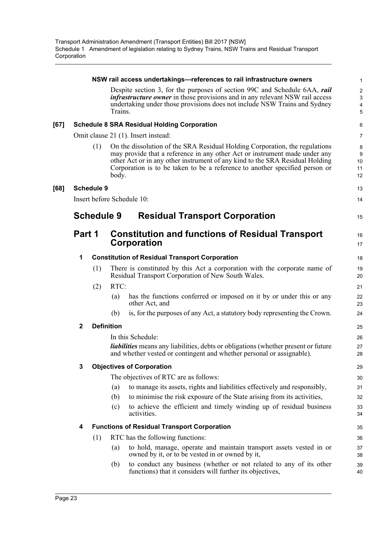|      |              |                   |         | NSW rail access undertakings—references to rail infrastructure owners                                                                                                                                                                                                                                                    | 1                             |
|------|--------------|-------------------|---------|--------------------------------------------------------------------------------------------------------------------------------------------------------------------------------------------------------------------------------------------------------------------------------------------------------------------------|-------------------------------|
|      |              |                   | Trains. | Despite section 3, for the purposes of section 99C and Schedule 6AA, rail<br><i>infrastructure owner</i> in those provisions and in any relevant NSW rail access<br>undertaking under those provisions does not include NSW Trains and Sydney                                                                            | $\overline{c}$<br>3<br>4<br>5 |
| [67] |              |                   |         | <b>Schedule 8 SRA Residual Holding Corporation</b>                                                                                                                                                                                                                                                                       | 6                             |
|      |              |                   |         | Omit clause 21 (1). Insert instead:                                                                                                                                                                                                                                                                                      | 7                             |
|      |              | (1)               | body.   | On the dissolution of the SRA Residual Holding Corporation, the regulations<br>may provide that a reference in any other Act or instrument made under any<br>other Act or in any other instrument of any kind to the SRA Residual Holding<br>Corporation is to be taken to be a reference to another specified person or | 8<br>9<br>10<br>11<br>12      |
| [68] |              | <b>Schedule 9</b> |         |                                                                                                                                                                                                                                                                                                                          | 13                            |
|      |              |                   |         | Insert before Schedule 10:                                                                                                                                                                                                                                                                                               | 14                            |
|      |              | <b>Schedule 9</b> |         | <b>Residual Transport Corporation</b>                                                                                                                                                                                                                                                                                    | 15                            |
|      | Part 1       |                   |         | <b>Constitution and functions of Residual Transport</b><br>Corporation                                                                                                                                                                                                                                                   | 16<br>17                      |
|      | 1            |                   |         | <b>Constitution of Residual Transport Corporation</b>                                                                                                                                                                                                                                                                    | 18                            |
|      |              | (1)               |         | There is constituted by this Act a corporation with the corporate name of<br>Residual Transport Corporation of New South Wales.                                                                                                                                                                                          | 19<br>20                      |
|      |              | (2)               | RTC:    |                                                                                                                                                                                                                                                                                                                          | 21                            |
|      |              |                   | (a)     | has the functions conferred or imposed on it by or under this or any<br>other Act, and                                                                                                                                                                                                                                   | 22<br>23                      |
|      |              |                   | (b)     | is, for the purposes of any Act, a statutory body representing the Crown.                                                                                                                                                                                                                                                | 24                            |
|      | $\mathbf{2}$ | <b>Definition</b> |         |                                                                                                                                                                                                                                                                                                                          | 25                            |
|      |              |                   |         | In this Schedule:                                                                                                                                                                                                                                                                                                        | 26                            |
|      |              |                   |         | <i>liabilities</i> means any liabilities, debts or obligations (whether present or future<br>and whether vested or contingent and whether personal or assignable).                                                                                                                                                       | 27<br>28                      |
|      | 3.           |                   |         | <b>Objectives of Corporation</b>                                                                                                                                                                                                                                                                                         | 29                            |
|      |              |                   |         | The objectives of RTC are as follows:                                                                                                                                                                                                                                                                                    | 30                            |
|      |              |                   | (a)     | to manage its assets, rights and liabilities effectively and responsibly,                                                                                                                                                                                                                                                | 31                            |
|      |              |                   | (b)     | to minimise the risk exposure of the State arising from its activities,                                                                                                                                                                                                                                                  | 32                            |
|      |              |                   | (c)     | to achieve the efficient and timely winding up of residual business<br>activities.                                                                                                                                                                                                                                       | 33<br>34                      |
|      | 4            |                   |         | <b>Functions of Residual Transport Corporation</b>                                                                                                                                                                                                                                                                       | 35                            |
|      |              | (1)               |         | RTC has the following functions:                                                                                                                                                                                                                                                                                         | 36                            |
|      |              |                   | (a)     | to hold, manage, operate and maintain transport assets vested in or<br>owned by it, or to be vested in or owned by it,                                                                                                                                                                                                   | 37<br>38                      |
|      |              |                   | (b)     | to conduct any business (whether or not related to any of its other<br>functions) that it considers will further its objectives,                                                                                                                                                                                         | 39<br>40                      |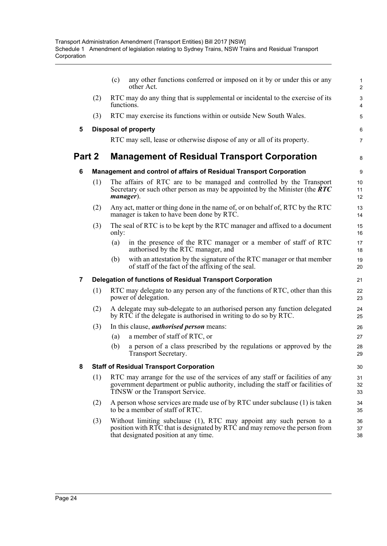|        |     | any other functions conferred or imposed on it by or under this or any<br>(c)<br>other Act.                                                                                                         | 1<br>$\overline{2}$         |
|--------|-----|-----------------------------------------------------------------------------------------------------------------------------------------------------------------------------------------------------|-----------------------------|
|        | (2) | RTC may do any thing that is supplemental or incidental to the exercise of its<br>functions.                                                                                                        | 3<br>4                      |
|        | (3) | RTC may exercise its functions within or outside New South Wales.                                                                                                                                   | 5                           |
| 5      |     | <b>Disposal of property</b>                                                                                                                                                                         | 6                           |
|        |     | RTC may sell, lease or otherwise dispose of any or all of its property.                                                                                                                             | $\overline{7}$              |
| Part 2 |     | <b>Management of Residual Transport Corporation</b>                                                                                                                                                 | 8                           |
| 6      |     | Management and control of affairs of Residual Transport Corporation                                                                                                                                 | 9                           |
|        | (1) | The affairs of RTC are to be managed and controlled by the Transport<br>Secretary or such other person as may be appointed by the Minister (the $\overline{R}TC$<br>manager).                       | 10 <sup>1</sup><br>11<br>12 |
|        | (2) | Any act, matter or thing done in the name of, or on behalf of, RTC by the RTC<br>manager is taken to have been done by RTC.                                                                         | 13<br>14                    |
|        | (3) | The seal of RTC is to be kept by the RTC manager and affixed to a document<br>only:                                                                                                                 | 15<br>16                    |
|        |     | in the presence of the RTC manager or a member of staff of RTC<br>(a)<br>authorised by the RTC manager, and                                                                                         | 17<br>18                    |
|        |     | with an attestation by the signature of the RTC manager or that member<br>(b)<br>of staff of the fact of the affixing of the seal.                                                                  | 19<br>20                    |
| 7      |     | Delegation of functions of Residual Transport Corporation                                                                                                                                           | 21                          |
|        | (1) | RTC may delegate to any person any of the functions of RTC, other than this<br>power of delegation.                                                                                                 | 22<br>23                    |
|        | (2) | A delegate may sub-delegate to an authorised person any function delegated<br>by RTC if the delegate is authorised in writing to do so by RTC.                                                      | 24<br>25                    |
|        | (3) | In this clause, <i>authorised person</i> means:                                                                                                                                                     | 26                          |
|        |     | a member of staff of RTC, or<br>(a)                                                                                                                                                                 | 27                          |
|        |     | (b)<br>a person of a class prescribed by the regulations or approved by the<br>Transport Secretary.                                                                                                 | 28<br>29                    |
| 8      |     | <b>Staff of Residual Transport Corporation</b>                                                                                                                                                      | 30                          |
|        | (1) | RTC may arrange for the use of the services of any staff or facilities of any<br>government department or public authority, including the staff or facilities of<br>TfNSW or the Transport Service. | 31<br>32<br>33              |
|        | (2) | A person whose services are made use of by RTC under subclause (1) is taken<br>to be a member of staff of RTC.                                                                                      | 34<br>35                    |
|        | (3) | Without limiting subclause (1), RTC may appoint any such person to a<br>position with RTC that is designated by RTC and may remove the person from<br>that designated position at any time.         | 36<br>37<br>38              |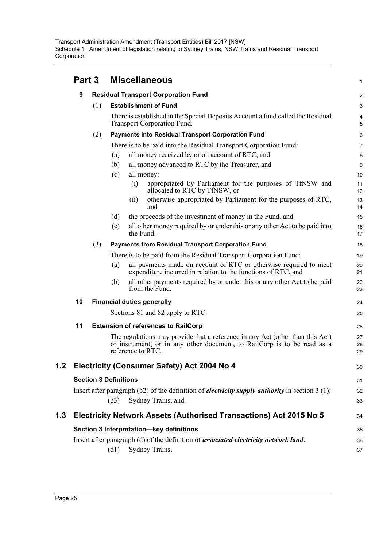|     | Part 3 |     | <b>Miscellaneous</b>                                                                                                                                                          | $\mathbf{1}$   |
|-----|--------|-----|-------------------------------------------------------------------------------------------------------------------------------------------------------------------------------|----------------|
|     | 9      |     | <b>Residual Transport Corporation Fund</b>                                                                                                                                    | $\overline{c}$ |
|     |        | (1) | <b>Establishment of Fund</b>                                                                                                                                                  | 3              |
|     |        |     | There is established in the Special Deposits Account a fund called the Residual<br>Transport Corporation Fund.                                                                | 4<br>5         |
|     |        | (2) | <b>Payments into Residual Transport Corporation Fund</b>                                                                                                                      | 6              |
|     |        |     | There is to be paid into the Residual Transport Corporation Fund:                                                                                                             | 7              |
|     |        |     | all money received by or on account of RTC, and<br>(a)                                                                                                                        | 8              |
|     |        |     | all money advanced to RTC by the Treasurer, and<br>(b)                                                                                                                        | 9              |
|     |        |     | all money:<br>(c)                                                                                                                                                             | 10             |
|     |        |     | (i)<br>appropriated by Parliament for the purposes of TfNSW and<br>allocated to RTC by TfNSW, or                                                                              | 11<br>12       |
|     |        |     | otherwise appropriated by Parliament for the purposes of RTC,<br>(ii)<br>and                                                                                                  | 13<br>14       |
|     |        |     | the proceeds of the investment of money in the Fund, and<br>(d)                                                                                                               | 15             |
|     |        |     | all other money required by or under this or any other Act to be paid into<br>(e)<br>the Fund.                                                                                | 16<br>17       |
|     |        | (3) | <b>Payments from Residual Transport Corporation Fund</b>                                                                                                                      | 18             |
|     |        |     | There is to be paid from the Residual Transport Corporation Fund:                                                                                                             | 19             |
|     |        |     | all payments made on account of RTC or otherwise required to meet<br>(a)<br>expenditure incurred in relation to the functions of RTC, and                                     | 20<br>21       |
|     |        |     | all other payments required by or under this or any other Act to be paid<br>(b)<br>from the Fund.                                                                             | 22<br>23       |
|     | 10     |     | <b>Financial duties generally</b>                                                                                                                                             | 24             |
|     |        |     | Sections 81 and 82 apply to RTC.                                                                                                                                              | 25             |
|     | 11     |     | <b>Extension of references to RailCorp</b>                                                                                                                                    | 26             |
|     |        |     | The regulations may provide that a reference in any Act (other than this Act)<br>or instrument, or in any other document, to RailCorp is to be read as a<br>reference to RTC. | 27<br>28<br>29 |
| 1.2 |        |     | Electricity (Consumer Safety) Act 2004 No 4                                                                                                                                   | 30             |
|     |        |     | <b>Section 3 Definitions</b>                                                                                                                                                  | 31             |
|     |        |     | Insert after paragraph $(b2)$ of the definition of <i>electricity supply authority</i> in section 3 (1):                                                                      | 32             |
|     |        |     | (b3)<br>Sydney Trains, and                                                                                                                                                    | 33             |
| 1.3 |        |     | Electricity Network Assets (Authorised Transactions) Act 2015 No 5                                                                                                            | 34             |
|     |        |     | Section 3 Interpretation-key definitions                                                                                                                                      | 35             |
|     |        |     | Insert after paragraph (d) of the definition of <i>associated electricity network land</i> :                                                                                  | 36             |
|     |        |     | Sydney Trains,<br>(d1)                                                                                                                                                        | 37             |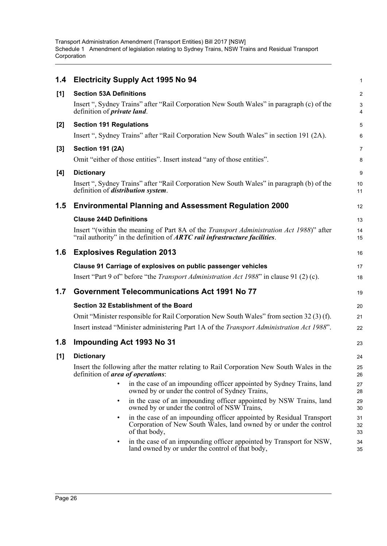| 1.4   | <b>Electricity Supply Act 1995 No 94</b>                                                                                                                                             | $\mathbf{1}$   |
|-------|--------------------------------------------------------------------------------------------------------------------------------------------------------------------------------------|----------------|
| [1]   | <b>Section 53A Definitions</b>                                                                                                                                                       | $\overline{2}$ |
|       | Insert ", Sydney Trains" after "Rail Corporation New South Wales" in paragraph (c) of the<br>definition of <i>private land</i> .                                                     | 3<br>4         |
| $[2]$ | <b>Section 191 Regulations</b>                                                                                                                                                       | 5              |
|       | Insert ", Sydney Trains" after "Rail Corporation New South Wales" in section 191 (2A).                                                                                               | 6              |
| $[3]$ | <b>Section 191 (2A)</b>                                                                                                                                                              | $\overline{7}$ |
|       | Omit "either of those entities". Insert instead "any of those entities".                                                                                                             | 8              |
| [4]   | <b>Dictionary</b>                                                                                                                                                                    | 9              |
|       | Insert ", Sydney Trains" after "Rail Corporation New South Wales" in paragraph (b) of the<br>definition of <i>distribution</i> system.                                               | 10<br>11       |
| 1.5   | <b>Environmental Planning and Assessment Regulation 2000</b>                                                                                                                         | 12             |
|       | <b>Clause 244D Definitions</b>                                                                                                                                                       | 13             |
|       | Insert "(within the meaning of Part 8A of the <i>Transport Administration Act 1988</i> )" after<br>"rail authority" in the definition of <b>ARTC</b> rail infrastructure facilities. | 14<br>15       |
| 1.6   | <b>Explosives Regulation 2013</b>                                                                                                                                                    | 16             |
|       | Clause 91 Carriage of explosives on public passenger vehicles                                                                                                                        | 17             |
|       | Insert "Part 9 of" before "the <i>Transport Administration Act 1988</i> " in clause 91 (2) (c).                                                                                      | 18             |
| 1.7   | <b>Government Telecommunications Act 1991 No 77</b>                                                                                                                                  | 19             |
|       | Section 32 Establishment of the Board                                                                                                                                                | 20             |
|       | Omit "Minister responsible for Rail Corporation New South Wales" from section 32 (3) (f).                                                                                            | 21             |
|       | Insert instead "Minister administering Part 1A of the <i>Transport Administration Act 1988</i> ".                                                                                    | 22             |
| 1.8   | Impounding Act 1993 No 31                                                                                                                                                            | 23             |
| [1]   | <b>Dictionary</b>                                                                                                                                                                    | 24             |
|       | Insert the following after the matter relating to Rail Corporation New South Wales in the<br>definition of <i>area of operations</i> :                                               | 25<br>26       |
|       | in the case of an impounding officer appointed by Sydney Trains, land<br>owned by or under the control of Sydney Trains,                                                             | 27<br>28       |
|       | in the case of an impounding officer appointed by NSW Trains, land<br>$\bullet$<br>owned by or under the control of NSW Trains,                                                      | 29<br>30       |
|       | in the case of an impounding officer appointed by Residual Transport<br>Corporation of New South Wales, land owned by or under the control<br>of that body,                          | 31<br>32<br>33 |
|       | in the case of an impounding officer appointed by Transport for NSW,<br>land owned by or under the control of that body,                                                             | 34<br>35       |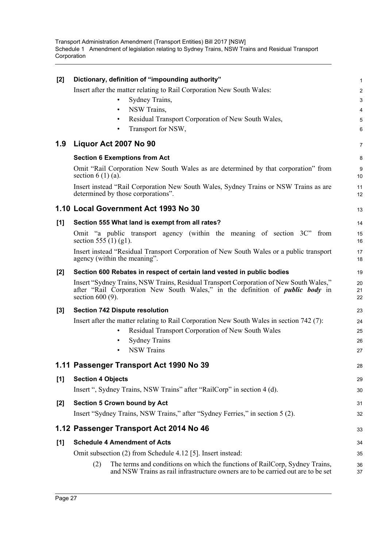| $[2]$ | Dictionary, definition of "impounding authority"                                                                                                                                                     | 1              |
|-------|------------------------------------------------------------------------------------------------------------------------------------------------------------------------------------------------------|----------------|
|       | Insert after the matter relating to Rail Corporation New South Wales:                                                                                                                                | $\overline{a}$ |
|       | Sydney Trains,<br>$\bullet$                                                                                                                                                                          | 3              |
|       | NSW Trains,<br>$\bullet$                                                                                                                                                                             | 4              |
|       | Residual Transport Corporation of New South Wales,<br>$\bullet$                                                                                                                                      | 5              |
|       | Transport for NSW,<br>$\bullet$                                                                                                                                                                      | 6              |
| 1.9   | Liquor Act 2007 No 90                                                                                                                                                                                | 7              |
|       | <b>Section 6 Exemptions from Act</b>                                                                                                                                                                 | 8              |
|       | Omit "Rail Corporation New South Wales as are determined by that corporation" from<br>section $6(1)(a)$ .                                                                                            | 9<br>10        |
|       | Insert instead "Rail Corporation New South Wales, Sydney Trains or NSW Trains as are<br>determined by those corporations".                                                                           | 11<br>12       |
|       | 1.10 Local Government Act 1993 No 30                                                                                                                                                                 | 13             |
| [1]   | Section 555 What land is exempt from all rates?                                                                                                                                                      | 14             |
|       | Omit "a public transport agency (within the meaning of section $3C$ " from<br>section 555 (1) (g1).                                                                                                  | 15<br>16       |
|       | Insert instead "Residual Transport Corporation of New South Wales or a public transport<br>agency (within the meaning".                                                                              | 17<br>18       |
| $[2]$ | Section 600 Rebates in respect of certain land vested in public bodies                                                                                                                               | 19             |
|       | Insert "Sydney Trains, NSW Trains, Residual Transport Corporation of New South Wales,"<br>after "Rail Corporation New South Wales," in the definition of <i>public body</i> in<br>section $600(9)$ . | 20<br>21<br>22 |
| $[3]$ | <b>Section 742 Dispute resolution</b>                                                                                                                                                                | 23             |
|       | Insert after the matter relating to Rail Corporation New South Wales in section 742 (7):                                                                                                             | 24             |
|       | Residual Transport Corporation of New South Wales<br>$\bullet$                                                                                                                                       | 25             |
|       | <b>Sydney Trains</b><br>$\bullet$                                                                                                                                                                    | 26             |
|       | <b>NSW Trains</b>                                                                                                                                                                                    | 27             |
|       | 1.11 Passenger Transport Act 1990 No 39                                                                                                                                                              | 28             |
| [1]   | <b>Section 4 Objects</b>                                                                                                                                                                             | 29             |
|       | Insert ", Sydney Trains, NSW Trains" after "RailCorp" in section 4 (d).                                                                                                                              | 30             |
| $[2]$ | <b>Section 5 Crown bound by Act</b>                                                                                                                                                                  | 31             |
|       | Insert "Sydney Trains, NSW Trains," after "Sydney Ferries," in section 5 (2).                                                                                                                        | 32             |
|       | 1.12 Passenger Transport Act 2014 No 46                                                                                                                                                              | 33             |
| [1]   | <b>Schedule 4 Amendment of Acts</b>                                                                                                                                                                  | 34             |
|       | Omit subsection (2) from Schedule 4.12 [5]. Insert instead:                                                                                                                                          | 35             |
|       | The terms and conditions on which the functions of RailCorp, Sydney Trains,<br>(2)<br>and NSW Trains as rail infrastructure owners are to be carried out are to be set                               | 36<br>37       |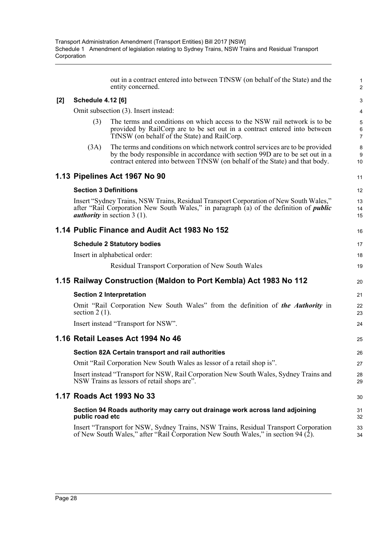|     |                              | out in a contract entered into between TfNSW (on behalf of the State) and the<br>entity concerned.                                                                                                                                            | $\mathbf{1}$<br>$\overline{c}$        |
|-----|------------------------------|-----------------------------------------------------------------------------------------------------------------------------------------------------------------------------------------------------------------------------------------------|---------------------------------------|
| [2] | <b>Schedule 4.12 [6]</b>     |                                                                                                                                                                                                                                               | 3                                     |
|     |                              | Omit subsection (3). Insert instead:                                                                                                                                                                                                          | $\overline{\mathbf{4}}$               |
|     | (3)                          | The terms and conditions on which access to the NSW rail network is to be<br>provided by RailCorp are to be set out in a contract entered into between<br>TfNSW (on behalf of the State) and RailCorp.                                        | $\overline{5}$<br>6<br>$\overline{7}$ |
|     | (3A)                         | The terms and conditions on which network control services are to be provided<br>by the body responsible in accordance with section 99D are to be set out in a<br>contract entered into between TfNSW (on behalf of the State) and that body. | 8<br>9<br>10                          |
|     |                              | 1.13 Pipelines Act 1967 No 90                                                                                                                                                                                                                 | 11                                    |
|     | <b>Section 3 Definitions</b> |                                                                                                                                                                                                                                               | 12                                    |
|     |                              | Insert "Sydney Trains, NSW Trains, Residual Transport Corporation of New South Wales,"<br>after "Rail Corporation New South Wales," in paragraph (a) of the definition of <i>public</i><br><i>authority</i> in section $3(1)$ .               | 13<br>14<br>15                        |
|     |                              | 1.14 Public Finance and Audit Act 1983 No 152                                                                                                                                                                                                 | 16                                    |
|     |                              | <b>Schedule 2 Statutory bodies</b>                                                                                                                                                                                                            | 17                                    |
|     |                              | Insert in alphabetical order:                                                                                                                                                                                                                 | 18                                    |
|     |                              | Residual Transport Corporation of New South Wales                                                                                                                                                                                             | 19                                    |
|     |                              | 1.15 Railway Construction (Maldon to Port Kembla) Act 1983 No 112                                                                                                                                                                             | 20                                    |
|     |                              | <b>Section 2 Interpretation</b>                                                                                                                                                                                                               | 21                                    |
|     | section $2(1)$ .             | Omit "Rail Corporation New South Wales" from the definition of the Authority in                                                                                                                                                               | 22<br>23                              |
|     |                              | Insert instead "Transport for NSW".                                                                                                                                                                                                           | 24                                    |
|     |                              | 1.16 Retail Leases Act 1994 No 46                                                                                                                                                                                                             | 25                                    |
|     |                              | Section 82A Certain transport and rail authorities                                                                                                                                                                                            | 26                                    |
|     |                              | Omit "Rail Corporation New South Wales as lessor of a retail shop is"                                                                                                                                                                         | 27                                    |
|     |                              | Insert instead "Transport for NSW, Rail Corporation New South Wales, Sydney Trains and<br>NSW Trains as lessors of retail shops are".                                                                                                         | 28<br>29                              |
|     |                              | 1.17 Roads Act 1993 No 33                                                                                                                                                                                                                     | 30                                    |
|     | public road etc              | Section 94 Roads authority may carry out drainage work across land adjoining                                                                                                                                                                  | 31<br>32                              |
|     |                              | Insert "Transport for NSW, Sydney Trains, NSW Trains, Residual Transport Corporation<br>of New South Wales," after "Rail Corporation New South Wales," in section 94 (2).                                                                     | 33<br>34                              |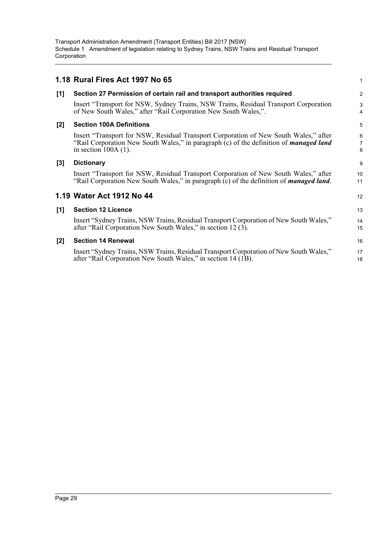|       | 1.18 Rural Fires Act 1997 No 65                                                                                                                                                                                 | 1                        |
|-------|-----------------------------------------------------------------------------------------------------------------------------------------------------------------------------------------------------------------|--------------------------|
| [1]   | Section 27 Permission of certain rail and transport authorities required                                                                                                                                        | $\overline{\mathbf{c}}$  |
|       | Insert "Transport for NSW, Sydney Trains, NSW Trains, Residual Transport Corporation<br>of New South Wales," after "Rail Corporation New South Wales,".                                                         | 3<br>4                   |
| [2]   | <b>Section 100A Definitions</b>                                                                                                                                                                                 | 5                        |
|       | Insert "Transport for NSW, Residual Transport Corporation of New South Wales," after<br>"Rail Corporation New South Wales," in paragraph (c) of the definition of <i>managed land</i><br>in section $100A(1)$ . | 6<br>$\overline{7}$<br>8 |
| $[3]$ | <b>Dictionary</b>                                                                                                                                                                                               | 9                        |
|       | Insert "Transport for NSW, Residual Transport Corporation of New South Wales," after<br>"Rail Corporation New South Wales," in paragraph (c) of the definition of <i>managed land</i> .                         | 10<br>11                 |
|       | 1.19 Water Act 1912 No 44                                                                                                                                                                                       | 12                       |
| [1]   | <b>Section 12 Licence</b>                                                                                                                                                                                       | 13                       |
|       | Insert "Sydney Trains, NSW Trains, Residual Transport Corporation of New South Wales,"<br>after "Rail Corporation New South Wales," in section 12 (3).                                                          | 14<br>15                 |
| [2]   | <b>Section 14 Renewal</b>                                                                                                                                                                                       | 16                       |
|       | Insert "Sydney Trains, NSW Trains, Residual Transport Corporation of New South Wales,"<br>after "Rail Corporation New South Wales," in section 14 (1B).                                                         | 17<br>18                 |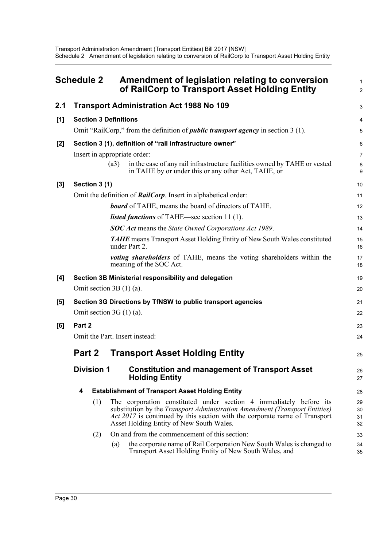<span id="page-33-0"></span>

|     | <b>Schedule 2</b>            | Amendment of legislation relating to conversion<br>of RailCorp to Transport Asset Holding Entity                                                                                                                                                                                          |                      |
|-----|------------------------------|-------------------------------------------------------------------------------------------------------------------------------------------------------------------------------------------------------------------------------------------------------------------------------------------|----------------------|
| 2.1 |                              | <b>Transport Administration Act 1988 No 109</b>                                                                                                                                                                                                                                           | 3                    |
| [1] | <b>Section 3 Definitions</b> |                                                                                                                                                                                                                                                                                           | 4                    |
|     |                              | Omit "RailCorp," from the definition of <i>public transport agency</i> in section 3 (1).                                                                                                                                                                                                  | $\overline{5}$       |
| [2] |                              | Section 3 (1), definition of "rail infrastructure owner"                                                                                                                                                                                                                                  | 6                    |
|     |                              | Insert in appropriate order:                                                                                                                                                                                                                                                              | 7                    |
|     |                              | in the case of any rail infrastructure facilities owned by TAHE or vested<br>(a3)<br>in TAHE by or under this or any other Act, TAHE, or                                                                                                                                                  | 8<br>9               |
| [3] | Section 3 (1)                |                                                                                                                                                                                                                                                                                           | 10                   |
|     |                              | Omit the definition of <b>RailCorp</b> . Insert in alphabetical order:                                                                                                                                                                                                                    | 11                   |
|     |                              | <b>board</b> of TAHE, means the board of directors of TAHE.                                                                                                                                                                                                                               | 12                   |
|     |                              | <i>listed functions</i> of TAHE—see section 11 (1).                                                                                                                                                                                                                                       | 13                   |
|     |                              | SOC Act means the State Owned Corporations Act 1989.                                                                                                                                                                                                                                      | 14                   |
|     |                              | <b>TAHE</b> means Transport Asset Holding Entity of New South Wales constituted<br>under Part 2.                                                                                                                                                                                          | 15<br>16             |
|     |                              | <i>voting shareholders</i> of TAHE, means the voting shareholders within the<br>meaning of the SOC Act.                                                                                                                                                                                   | 17<br>18             |
| [4] |                              | Section 3B Ministerial responsibility and delegation                                                                                                                                                                                                                                      | 19                   |
|     | Omit section $3B(1)(a)$ .    |                                                                                                                                                                                                                                                                                           | 20                   |
| [5] |                              | Section 3G Directions by TfNSW to public transport agencies                                                                                                                                                                                                                               | 21                   |
|     | Omit section $3G(1)(a)$ .    |                                                                                                                                                                                                                                                                                           | 22                   |
| [6] | Part 2                       |                                                                                                                                                                                                                                                                                           | 23                   |
|     |                              | Omit the Part. Insert instead:                                                                                                                                                                                                                                                            | 24                   |
|     | Part 2                       | <b>Transport Asset Holding Entity</b>                                                                                                                                                                                                                                                     | 25                   |
|     | <b>Division 1</b>            | <b>Constitution and management of Transport Asset</b><br><b>Holding Entity</b>                                                                                                                                                                                                            | 26<br>27             |
|     | 4                            | <b>Establishment of Transport Asset Holding Entity</b>                                                                                                                                                                                                                                    | 28                   |
|     | (1)                          | The corporation constituted under section 4 immediately before its<br>substitution by the <i>Transport Administration Amendment (Transport Entities)</i><br><i>Act 2017</i> is continued by this section with the corporate name of Transport<br>Asset Holding Entity of New South Wales. | 29<br>30<br>31<br>32 |
|     | (2)                          | On and from the commencement of this section:                                                                                                                                                                                                                                             | 33                   |
|     |                              | the corporate name of Rail Corporation New South Wales is changed to<br>(a)<br>Transport Asset Holding Entity of New South Wales, and                                                                                                                                                     | 34<br>35             |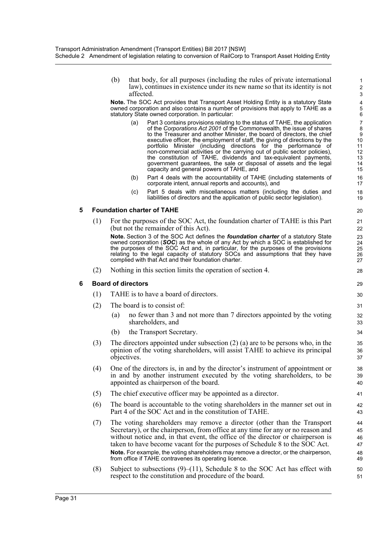(b) that body, for all purposes (including the rules of private international law), continues in existence under its new name so that its identity is not affected.

**Note.** The SOC Act provides that Transport Asset Holding Entity is a statutory State owned corporation and also contains a number of provisions that apply to TAHE as a statutory State owned corporation. In particular:

- (a) Part 3 contains provisions relating to the status of TAHE, the application of the *Corporations Act 2001* of the Commonwealth, the issue of shares to the Treasurer and another Minister, the board of directors, the chief executive officer, the employment of staff, the giving of directions by the portfolio Minister (including directions for the performance of non-commercial activities or the carrying out of public sector policies), the constitution of TAHE, dividends and tax-equivalent payments, government guarantees, the sale or disposal of assets and the legal capacity and general powers of TAHE, and
- (b) Part 4 deals with the accountability of TAHE (including statements of corporate intent, annual reports and accounts), and
- (c) Part 5 deals with miscellaneous matters (including the duties and liabilities of directors and the application of public sector legislation).

#### **5 Foundation charter of TAHE**

(1) For the purposes of the SOC Act, the foundation charter of TAHE is this Part (but not the remainder of this Act).

**Note.** Section 3 of the SOC Act defines the *foundation charter* of a statutory State owned corporation (*SOC*) as the whole of any Act by which a SOC is established for the purposes of the SOC Act and, in particular, for the purposes of the provisions relating to the legal capacity of statutory SOCs and assumptions that they have complied with that Act and their foundation charter.

(2) Nothing in this section limits the operation of section 4.

#### **6 Board of directors**

- (1) TAHE is to have a board of directors.
- (2) The board is to consist of:
	- (a) no fewer than 3 and not more than 7 directors appointed by the voting shareholders, and
	- (b) the Transport Secretary.
- (3) The directors appointed under subsection (2) (a) are to be persons who, in the opinion of the voting shareholders, will assist TAHE to achieve its principal objectives.
- (4) One of the directors is, in and by the director's instrument of appointment or in and by another instrument executed by the voting shareholders, to be appointed as chairperson of the board.
- (5) The chief executive officer may be appointed as a director.
- (6) The board is accountable to the voting shareholders in the manner set out in Part 4 of the SOC Act and in the constitution of TAHE.
- (7) The voting shareholders may remove a director (other than the Transport Secretary), or the chairperson, from office at any time for any or no reason and without notice and, in that event, the office of the director or chairperson is taken to have become vacant for the purposes of Schedule 8 to the SOC Act. **Note.** For example, the voting shareholders may remove a director, or the chairperson, from office if TAHE contravenes its operating licence.
- (8) Subject to subsections  $(9)$ –(11), Schedule 8 to the SOC Act has effect with respect to the constitution and procedure of the board.

> 50 51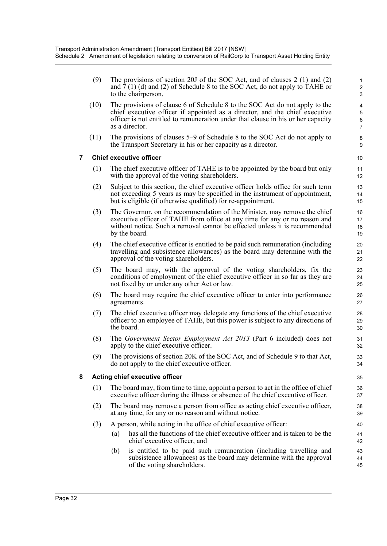(9) The provisions of section 20J of the SOC Act, and of clauses 2 (1) and (2) and 7 (1) (d) and (2) of Schedule 8 to the SOC Act, do not apply to TAHE or to the chairperson.

- (10) The provisions of clause 6 of Schedule 8 to the SOC Act do not apply to the chief executive officer if appointed as a director, and the chief executive officer is not entitled to remuneration under that clause in his or her capacity as a director.
- (11) The provisions of clauses 5–9 of Schedule 8 to the SOC Act do not apply to the Transport Secretary in his or her capacity as a director.

#### **7 Chief executive officer**

- (1) The chief executive officer of TAHE is to be appointed by the board but only with the approval of the voting shareholders.
- (2) Subject to this section, the chief executive officer holds office for such term not exceeding 5 years as may be specified in the instrument of appointment, but is eligible (if otherwise qualified) for re-appointment.
- (3) The Governor, on the recommendation of the Minister, may remove the chief executive officer of TAHE from office at any time for any or no reason and without notice. Such a removal cannot be effected unless it is recommended by the board.
- (4) The chief executive officer is entitled to be paid such remuneration (including travelling and subsistence allowances) as the board may determine with the approval of the voting shareholders.
- (5) The board may, with the approval of the voting shareholders, fix the conditions of employment of the chief executive officer in so far as they are not fixed by or under any other Act or law.
- (6) The board may require the chief executive officer to enter into performance agreements.
- (7) The chief executive officer may delegate any functions of the chief executive officer to an employee of TAHE, but this power is subject to any directions of the board.
- (8) The *Government Sector Employment Act 2013* (Part 6 included) does not apply to the chief executive officer.
- (9) The provisions of section 20K of the SOC Act, and of Schedule 9 to that Act, do not apply to the chief executive officer.

#### **8 Acting chief executive officer**

- (1) The board may, from time to time, appoint a person to act in the office of chief executive officer during the illness or absence of the chief executive officer.
- (2) The board may remove a person from office as acting chief executive officer, at any time, for any or no reason and without notice.
- (3) A person, while acting in the office of chief executive officer:
	- (a) has all the functions of the chief executive officer and is taken to be the chief executive officer, and
	- (b) is entitled to be paid such remuneration (including travelling and subsistence allowances) as the board may determine with the approval of the voting shareholders.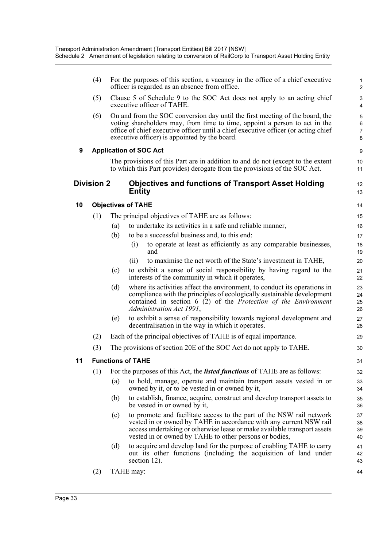|    | (4)               |     | For the purposes of this section, a vacancy in the office of a chief executive<br>officer is regarded as an absence from office.                                                                                                                                                                  | $\mathbf{1}$<br>$\overline{2}$ |
|----|-------------------|-----|---------------------------------------------------------------------------------------------------------------------------------------------------------------------------------------------------------------------------------------------------------------------------------------------------|--------------------------------|
|    | (5)               |     | Clause 5 of Schedule 9 to the SOC Act does not apply to an acting chief<br>executive officer of TAHE.                                                                                                                                                                                             | 3<br>4                         |
|    | (6)               |     | On and from the SOC conversion day until the first meeting of the board, the<br>voting shareholders may, from time to time, appoint a person to act in the<br>office of chief executive officer until a chief executive officer (or acting chief<br>executive officer) is appointed by the board. | 5<br>6<br>$\overline{7}$<br>8  |
| 9  |                   |     | <b>Application of SOC Act</b>                                                                                                                                                                                                                                                                     | 9                              |
|    |                   |     | The provisions of this Part are in addition to and do not (except to the extent<br>to which this Part provides) derogate from the provisions of the SOC Act.                                                                                                                                      | 10 <sup>1</sup><br>11          |
|    | <b>Division 2</b> |     | <b>Objectives and functions of Transport Asset Holding</b><br><b>Entity</b>                                                                                                                                                                                                                       | 12<br>13                       |
| 10 |                   |     | <b>Objectives of TAHE</b>                                                                                                                                                                                                                                                                         | 14                             |
|    | (1)               |     | The principal objectives of TAHE are as follows:                                                                                                                                                                                                                                                  | 15                             |
|    |                   | (a) | to undertake its activities in a safe and reliable manner,                                                                                                                                                                                                                                        | 16                             |
|    |                   | (b) | to be a successful business and, to this end:                                                                                                                                                                                                                                                     | 17                             |
|    |                   |     | to operate at least as efficiently as any comparable businesses,<br>(i)<br>and                                                                                                                                                                                                                    | 18<br>19                       |
|    |                   |     | to maximise the net worth of the State's investment in TAHE,<br>(ii)                                                                                                                                                                                                                              | 20                             |
|    |                   | (c) | to exhibit a sense of social responsibility by having regard to the<br>interests of the community in which it operates,                                                                                                                                                                           | 21<br>22                       |
|    |                   | (d) | where its activities affect the environment, to conduct its operations in<br>compliance with the principles of ecologically sustainable development<br>contained in section $6(2)$ of the Protection of the Environment<br>Administration Act 1991,                                               | 23<br>24<br>25<br>26           |
|    |                   | (e) | to exhibit a sense of responsibility towards regional development and<br>decentralisation in the way in which it operates.                                                                                                                                                                        | 27<br>28                       |
|    | (2)               |     | Each of the principal objectives of TAHE is of equal importance.                                                                                                                                                                                                                                  | 29                             |
|    | (3)               |     | The provisions of section 20E of the SOC Act do not apply to TAHE.                                                                                                                                                                                                                                | 30                             |
| 11 |                   |     | <b>Functions of TAHF</b>                                                                                                                                                                                                                                                                          | 31                             |
|    | (1)               |     | For the purposes of this Act, the <i>listed functions</i> of TAHE are as follows:                                                                                                                                                                                                                 | 32                             |
|    |                   | (a) | to hold, manage, operate and maintain transport assets vested in or<br>owned by it, or to be vested in or owned by it,                                                                                                                                                                            | 33<br>34                       |
|    |                   | (b) | to establish, finance, acquire, construct and develop transport assets to<br>be vested in or owned by it,                                                                                                                                                                                         | 35<br>36                       |
|    |                   | (c) | to promote and facilitate access to the part of the NSW rail network<br>vested in or owned by TAHE in accordance with any current NSW rail<br>access undertaking or otherwise lease or make available transport assets<br>vested in or owned by TAHE to other persons or bodies,                  | 37<br>38<br>39<br>40           |
|    |                   | (d) | to acquire and develop land for the purpose of enabling TAHE to carry<br>out its other functions (including the acquisition of land under<br>section 12).                                                                                                                                         | 41<br>42<br>43                 |
|    | (2)               |     | TAHE may:                                                                                                                                                                                                                                                                                         | 44                             |

(2) TAHE may: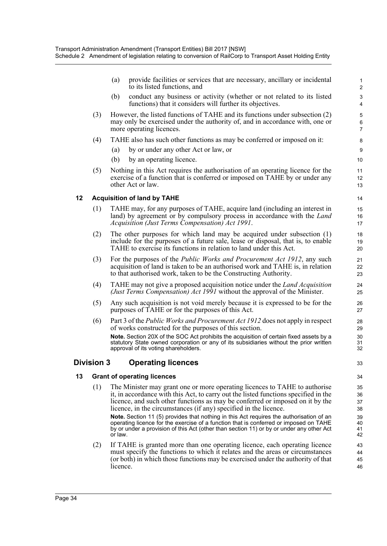- (a) provide facilities or services that are necessary, ancillary or incidental to its listed functions, and
- (b) conduct any business or activity (whether or not related to its listed functions) that it considers will further its objectives.
- (3) However, the listed functions of TAHE and its functions under subsection (2) may only be exercised under the authority of, and in accordance with, one or more operating licences.
- (4) TAHE also has such other functions as may be conferred or imposed on it:
	- (a) by or under any other Act or law, or
	- (b) by an operating licence.
- (5) Nothing in this Act requires the authorisation of an operating licence for the exercise of a function that is conferred or imposed on TAHE by or under any other Act or law.

#### **12 Acquisition of land by TAHE**

- (1) TAHE may, for any purposes of TAHE, acquire land (including an interest in land) by agreement or by compulsory process in accordance with the *Land Acquisition (Just Terms Compensation) Act 1991*.
- (2) The other purposes for which land may be acquired under subsection (1) include for the purposes of a future sale, lease or disposal, that is, to enable TAHE to exercise its functions in relation to land under this Act.
- (3) For the purposes of the *Public Works and Procurement Act 1912*, any such acquisition of land is taken to be an authorised work and TAHE is, in relation to that authorised work, taken to be the Constructing Authority.
- (4) TAHE may not give a proposed acquisition notice under the *Land Acquisition (Just Terms Compensation) Act 1991* without the approval of the Minister.
- (5) Any such acquisition is not void merely because it is expressed to be for the purposes of TAHE or for the purposes of this Act.
- (6) Part 3 of the *Public Works and Procurement Act 1912* does not apply in respect of works constructed for the purposes of this section. **Note.** Section 20X of the SOC Act prohibits the acquisition of certain fixed assets by a statutory State owned corporation or any of its subsidiaries without the prior written approval of its voting shareholders.

### **Division 3 Operating licences**

#### **13 Grant of operating licences**

(1) The Minister may grant one or more operating licences to TAHE to authorise it, in accordance with this Act, to carry out the listed functions specified in the licence, and such other functions as may be conferred or imposed on it by the licence, in the circumstances (if any) specified in the licence.

**Note.** Section 11 (5) provides that nothing in this Act requires the authorisation of an operating licence for the exercise of a function that is conferred or imposed on TAHE by or under a provision of this Act (other than section 11) or by or under any other Act or law.

(2) If TAHE is granted more than one operating licence, each operating licence must specify the functions to which it relates and the areas or circumstances (or both) in which those functions may be exercised under the authority of that licence.

33 34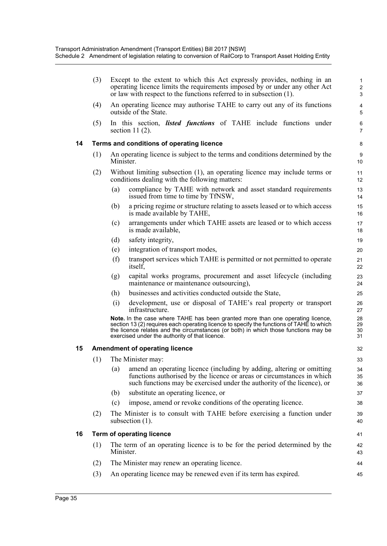|    | (3) | Except to the extent to which this Act expressly provides, nothing in an<br>operating licence limits the requirements imposed by or under any other Act<br>or law with respect to the functions referred to in subsection (1).                                                                                      | $\mathbf{1}$<br>$\overline{2}$<br>3 |
|----|-----|---------------------------------------------------------------------------------------------------------------------------------------------------------------------------------------------------------------------------------------------------------------------------------------------------------------------|-------------------------------------|
|    | (4) | An operating licence may authorise TAHE to carry out any of its functions<br>outside of the State.                                                                                                                                                                                                                  | 4<br>5                              |
|    | (5) | In this section, <i>listed functions</i> of TAHE include functions under<br>section 11 $(2)$ .                                                                                                                                                                                                                      | 6<br>$\overline{7}$                 |
| 14 |     | Terms and conditions of operating licence                                                                                                                                                                                                                                                                           | 8                                   |
|    | (1) | An operating licence is subject to the terms and conditions determined by the<br>Minister.                                                                                                                                                                                                                          | $9\,$<br>10                         |
|    | (2) | Without limiting subsection (1), an operating licence may include terms or<br>conditions dealing with the following matters:                                                                                                                                                                                        | 11<br>12                            |
|    |     | compliance by TAHE with network and asset standard requirements<br>(a)<br>issued from time to time by TfNSW,                                                                                                                                                                                                        | 13<br>14                            |
|    |     | a pricing regime or structure relating to assets leased or to which access<br>(b)<br>is made available by TAHE,                                                                                                                                                                                                     | 15<br>16                            |
|    |     | arrangements under which TAHE assets are leased or to which access<br>(c)<br>is made available,                                                                                                                                                                                                                     | 17<br>18                            |
|    |     | safety integrity,<br>(d)                                                                                                                                                                                                                                                                                            | 19                                  |
|    |     | integration of transport modes,<br>(e)                                                                                                                                                                                                                                                                              | 20                                  |
|    |     | (f)<br>transport services which TAHE is permitted or not permitted to operate<br>itself,                                                                                                                                                                                                                            | 21<br>22                            |
|    |     | capital works programs, procurement and asset lifecycle (including<br>(g)<br>maintenance or maintenance outsourcing),                                                                                                                                                                                               | 23<br>24                            |
|    |     | businesses and activities conducted outside the State,<br>(h)                                                                                                                                                                                                                                                       | 25                                  |
|    |     | development, use or disposal of TAHE's real property or transport<br>(i)<br>infrastructure.                                                                                                                                                                                                                         | 26<br>27                            |
|    |     | Note. In the case where TAHE has been granted more than one operating licence,<br>section 13 (2) requires each operating licence to specify the functions of TAHE to which<br>the licence relates and the circumstances (or both) in which those functions may be<br>exercised under the authority of that licence. | 28<br>29<br>30<br>31                |
| 15 |     | <b>Amendment of operating licence</b>                                                                                                                                                                                                                                                                               | 32                                  |
|    | (1) | The Minister may:                                                                                                                                                                                                                                                                                                   | 33                                  |
|    |     | amend an operating licence (including by adding, altering or omitting<br>(a)<br>functions authorised by the licence or areas or circumstances in which<br>such functions may be exercised under the authority of the licence), or                                                                                   | 34<br>35<br>36                      |
|    |     | substitute an operating licence, or<br>(b)                                                                                                                                                                                                                                                                          | 37                                  |
|    |     | impose, amend or revoke conditions of the operating licence.<br>(c)                                                                                                                                                                                                                                                 | 38                                  |
|    | (2) | The Minister is to consult with TAHE before exercising a function under<br>subsection $(1)$ .                                                                                                                                                                                                                       | 39<br>40                            |
| 16 |     | <b>Term of operating licence</b>                                                                                                                                                                                                                                                                                    | 41                                  |
|    | (1) | The term of an operating licence is to be for the period determined by the<br>Minister.                                                                                                                                                                                                                             | 42<br>43                            |
|    | (2) | The Minister may renew an operating licence.                                                                                                                                                                                                                                                                        | 44                                  |
|    | (3) | An operating licence may be renewed even if its term has expired.                                                                                                                                                                                                                                                   | 45                                  |
|    |     |                                                                                                                                                                                                                                                                                                                     |                                     |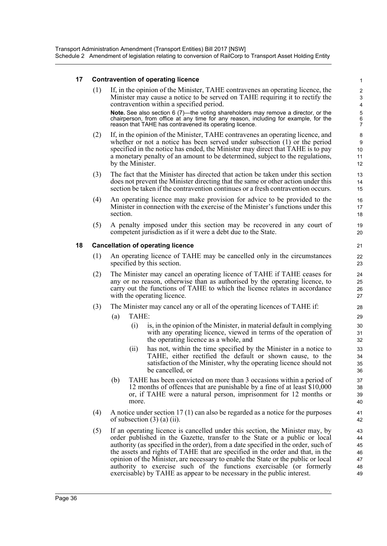#### **17 Contravention of operating licence**

(1) If, in the opinion of the Minister, TAHE contravenes an operating licence, the Minister may cause a notice to be served on TAHE requiring it to rectify the contravention within a specified period. **Note.** See also section 6 (7)—the voting shareholders may remove a director, or the chairperson, from office at any time for any reason, including for example, for the reason that TAHE has contravened its operating licence.

- (2) If, in the opinion of the Minister, TAHE contravenes an operating licence, and whether or not a notice has been served under subsection (1) or the period specified in the notice has ended, the Minister may direct that TAHE is to pay a monetary penalty of an amount to be determined, subject to the regulations, by the Minister.
- (3) The fact that the Minister has directed that action be taken under this section does not prevent the Minister directing that the same or other action under this section be taken if the contravention continues or a fresh contravention occurs.
- (4) An operating licence may make provision for advice to be provided to the Minister in connection with the exercise of the Minister's functions under this section.
- (5) A penalty imposed under this section may be recovered in any court of competent jurisdiction as if it were a debt due to the State.

#### **18 Cancellation of operating licence**

- (1) An operating licence of TAHE may be cancelled only in the circumstances specified by this section.
- (2) The Minister may cancel an operating licence of TAHE if TAHE ceases for any or no reason, otherwise than as authorised by the operating licence, to carry out the functions of TAHE to which the licence relates in accordance with the operating licence.
- (3) The Minister may cancel any or all of the operating licences of TAHE if:
	- (a) TAHE:
		- (i) is, in the opinion of the Minister, in material default in complying with any operating licence, viewed in terms of the operation of the operating licence as a whole, and
		- (ii) has not, within the time specified by the Minister in a notice to TAHE, either rectified the default or shown cause, to the satisfaction of the Minister, why the operating licence should not be cancelled, or
	- (b) TAHE has been convicted on more than 3 occasions within a period of 12 months of offences that are punishable by a fine of at least \$10,000 or, if TAHE were a natural person, imprisonment for 12 months or more.
- (4) A notice under section 17 (1) can also be regarded as a notice for the purposes of subsection  $(3)$   $(a)$   $(ii)$ .
- (5) If an operating licence is cancelled under this section, the Minister may, by order published in the Gazette, transfer to the State or a public or local authority (as specified in the order), from a date specified in the order, such of the assets and rights of TAHE that are specified in the order and that, in the opinion of the Minister, are necessary to enable the State or the public or local authority to exercise such of the functions exercisable (or formerly exercisable) by TAHE as appear to be necessary in the public interest.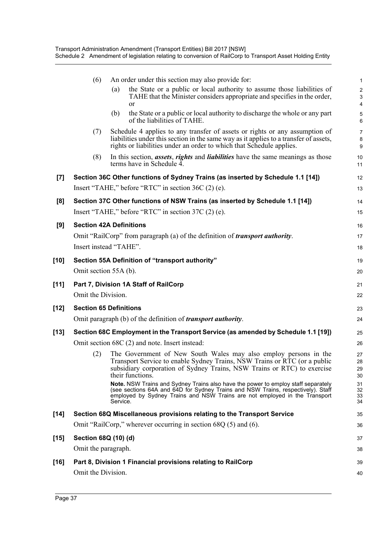|                    | (6)                            |          | An order under this section may also provide for:                                                                                                                                                                                                   | 1                                                  |
|--------------------|--------------------------------|----------|-----------------------------------------------------------------------------------------------------------------------------------------------------------------------------------------------------------------------------------------------------|----------------------------------------------------|
|                    |                                | (a)      | the State or a public or local authority to assume those liabilities of<br>TAHE that the Minister considers appropriate and specifies in the order,<br><sub>or</sub>                                                                                | $\boldsymbol{2}$<br>$\ensuremath{\mathsf{3}}$<br>4 |
|                    |                                | (b)      | the State or a public or local authority to discharge the whole or any part<br>of the liabilities of TAHE.                                                                                                                                          | 5<br>6                                             |
|                    | (7)                            |          | Schedule 4 applies to any transfer of assets or rights or any assumption of<br>liabilities under this section in the same way as it applies to a transfer of assets,<br>rights or liabilities under an order to which that Schedule applies.        | $\overline{7}$<br>8<br>9                           |
|                    | (8)                            |          | In this section, <i>assets</i> , <i>rights</i> and <i>liabilities</i> have the same meanings as those<br>terms have in Schedule 4.                                                                                                                  | 10<br>11                                           |
| $\left[ 7 \right]$ |                                |          | Section 36C Other functions of Sydney Trains (as inserted by Schedule 1.1 [14])                                                                                                                                                                     | 12                                                 |
|                    |                                |          | Insert "TAHE," before "RTC" in section 36C (2) (e).                                                                                                                                                                                                 | 13                                                 |
| [8]                |                                |          | Section 37C Other functions of NSW Trains (as inserted by Schedule 1.1 [14])                                                                                                                                                                        | 14                                                 |
|                    |                                |          | Insert "TAHE," before "RTC" in section 37C (2) (e).                                                                                                                                                                                                 | 15                                                 |
| [9]                | <b>Section 42A Definitions</b> |          |                                                                                                                                                                                                                                                     | 16                                                 |
|                    |                                |          | Omit "RailCorp" from paragraph (a) of the definition of <i>transport authority</i> .                                                                                                                                                                | 17                                                 |
|                    | Insert instead "TAHE".         |          |                                                                                                                                                                                                                                                     | 18                                                 |
| [10]               |                                |          | Section 55A Definition of "transport authority"                                                                                                                                                                                                     | 19                                                 |
|                    | Omit section 55A (b).          |          |                                                                                                                                                                                                                                                     | 20                                                 |
| $[11]$             |                                |          | Part 7, Division 1A Staff of RailCorp                                                                                                                                                                                                               | 21                                                 |
|                    | Omit the Division.             |          |                                                                                                                                                                                                                                                     | 22                                                 |
| [12]               | <b>Section 65 Definitions</b>  |          |                                                                                                                                                                                                                                                     | 23                                                 |
|                    |                                |          | Omit paragraph (b) of the definition of <i>transport authority</i> .                                                                                                                                                                                | 24                                                 |
| [13]               |                                |          | Section 68C Employment in the Transport Service (as amended by Schedule 1.1 [19])                                                                                                                                                                   | 25                                                 |
|                    |                                |          | Omit section 68C (2) and note. Insert instead:                                                                                                                                                                                                      | 26                                                 |
|                    | (2)                            |          | The Government of New South Wales may also employ persons in the                                                                                                                                                                                    | 27<br>28                                           |
|                    |                                |          | Transport Service to enable Sydney Trains, NSW Trains or RTC (or a public<br>subsidiary corporation of Sydney Trains, NSW Trains or RTC) to exercise<br>their functions.                                                                            | 29<br>30                                           |
|                    |                                | Service. | Note. NSW Trains and Sydney Trains also have the power to employ staff separately<br>(see sections 64A and 64D for Sydney Trains and NSW Trains, respectively). Staff<br>employed by Sydney Trains and NSW Trains are not employed in the Transport | 31<br>32<br>33<br>34                               |
| $[14]$             |                                |          | Section 68Q Miscellaneous provisions relating to the Transport Service                                                                                                                                                                              | 35                                                 |
|                    |                                |          | Omit "RailCorp," wherever occurring in section $68Q(5)$ and $(6)$ .                                                                                                                                                                                 | 36                                                 |
| [15]               | Section 68Q (10) (d)           |          |                                                                                                                                                                                                                                                     | 37                                                 |
|                    | Omit the paragraph.            |          |                                                                                                                                                                                                                                                     | 38                                                 |
| [16]               |                                |          | Part 8, Division 1 Financial provisions relating to RailCorp                                                                                                                                                                                        | 39                                                 |
|                    | Omit the Division.             |          |                                                                                                                                                                                                                                                     | 40                                                 |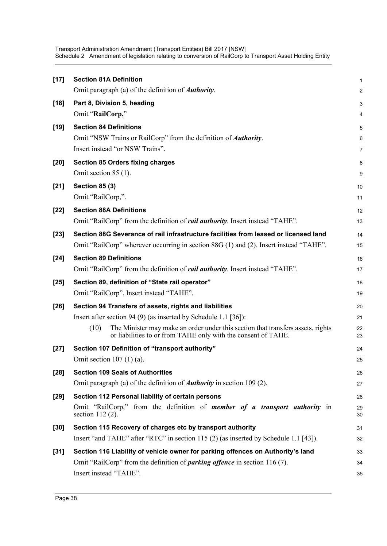| $[17]$ | <b>Section 81A Definition</b>                                                                                                                            | $\mathbf{1}$   |
|--------|----------------------------------------------------------------------------------------------------------------------------------------------------------|----------------|
|        | Omit paragraph (a) of the definition of <i>Authority</i> .                                                                                               | 2              |
| $[18]$ | Part 8, Division 5, heading                                                                                                                              | 3              |
|        | Omit "RailCorp,"                                                                                                                                         | 4              |
| $[19]$ | <b>Section 84 Definitions</b>                                                                                                                            | 5              |
|        | Omit "NSW Trains or RailCorp" from the definition of <b>Authority</b> .                                                                                  | 6              |
|        | Insert instead "or NSW Trains".                                                                                                                          | $\overline{7}$ |
| $[20]$ | <b>Section 85 Orders fixing charges</b>                                                                                                                  | 8              |
|        | Omit section 85 (1).                                                                                                                                     | 9              |
| $[21]$ | <b>Section 85 (3)</b>                                                                                                                                    | 10             |
|        | Omit "RailCorp,".                                                                                                                                        | 11             |
| $[22]$ | <b>Section 88A Definitions</b>                                                                                                                           | 12             |
|        | Omit "RailCorp" from the definition of <i>rail authority</i> . Insert instead "TAHE".                                                                    | 13             |
| $[23]$ | Section 88G Severance of rail infrastructure facilities from leased or licensed land                                                                     | 14             |
|        | Omit "RailCorp" wherever occurring in section 88G (1) and (2). Insert instead "TAHE".                                                                    | 15             |
| $[24]$ | <b>Section 89 Definitions</b>                                                                                                                            | 16             |
|        | Omit "RailCorp" from the definition of <i>rail authority</i> . Insert instead "TAHE".                                                                    | 17             |
| $[25]$ | Section 89, definition of "State rail operator"                                                                                                          | 18             |
|        | Omit "RailCorp". Insert instead "TAHE".                                                                                                                  | 19             |
| $[26]$ | Section 94 Transfers of assets, rights and liabilities                                                                                                   | 20             |
|        | Insert after section 94 (9) (as inserted by Schedule 1.1 [36]):                                                                                          | 21             |
|        | The Minister may make an order under this section that transfers assets, rights<br>(10)<br>or liabilities to or from TAHE only with the consent of TAHE. | 22<br>23       |
| $[27]$ | Section 107 Definition of "transport authority"                                                                                                          | 24             |
|        | Omit section $107(1)(a)$ .                                                                                                                               | 25             |
| $[28]$ | <b>Section 109 Seals of Authorities</b>                                                                                                                  | 26             |
|        | Omit paragraph (a) of the definition of <b><i>Authority</i></b> in section 109 (2).                                                                      | 27             |
| [29]   | Section 112 Personal liability of certain persons                                                                                                        | 28             |
|        | Omit "RailCorp," from the definition of <i>member of a transport authority</i> in<br>section $112(2)$ .                                                  | 29<br>30       |
| [30]   | Section 115 Recovery of charges etc by transport authority                                                                                               | 31             |
|        | Insert "and TAHE" after "RTC" in section 115 (2) (as inserted by Schedule 1.1 [43]).                                                                     | 32             |
| $[31]$ | Section 116 Liability of vehicle owner for parking offences on Authority's land                                                                          | 33             |
|        | Omit "RailCorp" from the definition of <i>parking offence</i> in section 116 (7).                                                                        | 34             |
|        | Insert instead "TAHE".                                                                                                                                   | 35             |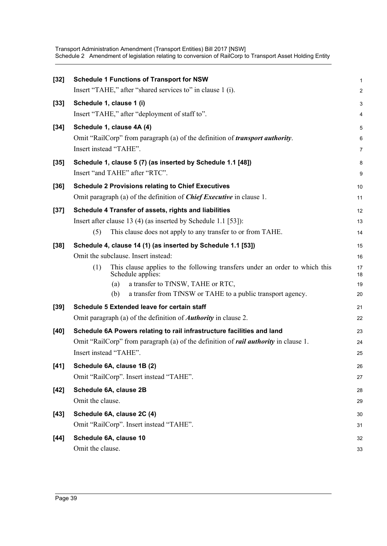| $[32]$ | <b>Schedule 1 Functions of Transport for NSW</b>                                                        | $\mathbf{1}$   |
|--------|---------------------------------------------------------------------------------------------------------|----------------|
|        | Insert "TAHE," after "shared services to" in clause 1 (i).                                              | $\overline{2}$ |
| $[33]$ | Schedule 1, clause 1 (i)                                                                                | 3              |
|        | Insert "TAHE," after "deployment of staff to".                                                          | 4              |
| $[34]$ | Schedule 1, clause 4A (4)                                                                               | 5              |
|        | Omit "RailCorp" from paragraph (a) of the definition of <i>transport authority</i> .                    | 6              |
|        | Insert instead "TAHE".                                                                                  | $\overline{7}$ |
| $[35]$ | Schedule 1, clause 5 (7) (as inserted by Schedule 1.1 [48])                                             | 8              |
|        | Insert "and TAHE" after "RTC".                                                                          | 9              |
| $[36]$ | <b>Schedule 2 Provisions relating to Chief Executives</b>                                               | 10             |
|        | Omit paragraph (a) of the definition of <i>Chief Executive</i> in clause 1.                             | 11             |
| $[37]$ | Schedule 4 Transfer of assets, rights and liabilities                                                   | 12             |
|        | Insert after clause 13 (4) (as inserted by Schedule 1.1 [53]):                                          | 13             |
|        | This clause does not apply to any transfer to or from TAHE.<br>(5)                                      | 14             |
| $[38]$ | Schedule 4, clause 14 (1) (as inserted by Schedule 1.1 [53])                                            | 15             |
|        | Omit the subclause. Insert instead:                                                                     | 16             |
|        | This clause applies to the following transfers under an order to which this<br>(1)<br>Schedule applies: | 17<br>18       |
|        | a transfer to TfNSW, TAHE or RTC,<br>(a)                                                                | 19             |
|        | a transfer from TfNSW or TAHE to a public transport agency.<br>(b)                                      | 20             |
| $[39]$ | Schedule 5 Extended leave for certain staff                                                             | 21             |
|        | Omit paragraph (a) of the definition of <b><i>Authority</i></b> in clause 2.                            | 22             |
| $[40]$ | Schedule 6A Powers relating to rail infrastructure facilities and land                                  | 23             |
|        | Omit "RailCorp" from paragraph (a) of the definition of <i>rail authority</i> in clause 1.              | 24             |
|        | Insert instead "TAHE".                                                                                  | 25             |
| $[41]$ | Schedule 6A, clause 1B (2)                                                                              | 26             |
|        | Omit "RailCorp". Insert instead "TAHE".                                                                 | 27             |
| [42]   | Schedule 6A, clause 2B                                                                                  | 28             |
|        | Omit the clause.                                                                                        | 29             |
| $[43]$ | Schedule 6A, clause 2C (4)                                                                              | 30             |
|        | Omit "RailCorp". Insert instead "TAHE".                                                                 | 31             |
| $[44]$ | Schedule 6A, clause 10                                                                                  | 32             |
|        | Omit the clause.                                                                                        | 33             |
|        |                                                                                                         |                |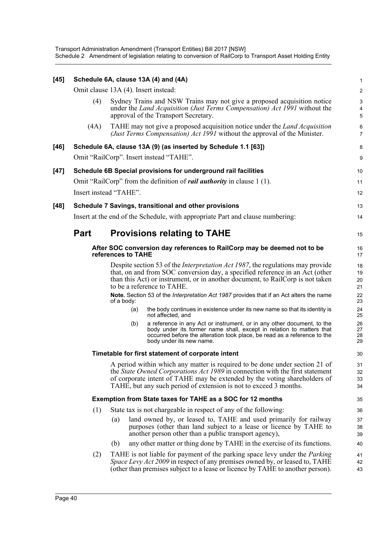| $[45]$ |             |                                      | Schedule 6A, clause 13A (4) and (4A)                                                                                                                                                                                                                                                                                                                                              | $\mathbf{1}$               |
|--------|-------------|--------------------------------------|-----------------------------------------------------------------------------------------------------------------------------------------------------------------------------------------------------------------------------------------------------------------------------------------------------------------------------------------------------------------------------------|----------------------------|
|        |             | Omit clause 13A (4). Insert instead: |                                                                                                                                                                                                                                                                                                                                                                                   | $\overline{c}$             |
|        | (4)         |                                      | Sydney Trains and NSW Trains may not give a proposed acquisition notice<br>under the Land Acquisition (Just Terms Compensation) Act 1991 without the<br>approval of the Transport Secretary.                                                                                                                                                                                      | 3<br>4<br>5                |
|        | (4A)        |                                      | TAHE may not give a proposed acquisition notice under the <i>Land Acquisition</i><br>(Just Terms Compensation) Act 1991 without the approval of the Minister.                                                                                                                                                                                                                     | 6<br>$\overline{7}$        |
| $[46]$ |             |                                      | Schedule 6A, clause 13A (9) (as inserted by Schedule 1.1 [63])                                                                                                                                                                                                                                                                                                                    | 8                          |
|        |             |                                      | Omit "RailCorp". Insert instead "TAHE".                                                                                                                                                                                                                                                                                                                                           | 9                          |
| $[47]$ |             |                                      | Schedule 6B Special provisions for underground rail facilities                                                                                                                                                                                                                                                                                                                    | 10                         |
|        |             |                                      | Omit "RailCorp" from the definition of <i>rail authority</i> in clause 1(1).                                                                                                                                                                                                                                                                                                      | 11                         |
|        |             | Insert instead "TAHE".               |                                                                                                                                                                                                                                                                                                                                                                                   | 12                         |
| [48]   |             |                                      | Schedule 7 Savings, transitional and other provisions                                                                                                                                                                                                                                                                                                                             | 13                         |
|        |             |                                      | Insert at the end of the Schedule, with appropriate Part and clause numbering:                                                                                                                                                                                                                                                                                                    | 14                         |
|        | <b>Part</b> |                                      | <b>Provisions relating to TAHE</b>                                                                                                                                                                                                                                                                                                                                                | 15                         |
|        |             | references to TAHE                   | After SOC conversion day references to RailCorp may be deemed not to be                                                                                                                                                                                                                                                                                                           | 16<br>17                   |
|        |             |                                      | Despite section 53 of the <i>Interpretation Act 1987</i> , the regulations may provide<br>that, on and from SOC conversion day, a specified reference in an Act (other<br>than this Act) or instrument, or in another document, to RailCorp is not taken<br>to be a reference to TAHE.<br>Note. Section 53 of the Interpretation Act 1987 provides that if an Act alters the name | 18<br>19<br>20<br>21<br>22 |
|        |             | of a body:                           |                                                                                                                                                                                                                                                                                                                                                                                   | 23                         |
|        |             | (a)                                  | the body continues in existence under its new name so that its identity is<br>not affected, and                                                                                                                                                                                                                                                                                   | 24<br>25                   |
|        |             | (b)                                  | a reference in any Act or instrument, or in any other document, to the<br>body under its former name shall, except in relation to matters that<br>occurred before the alteration took place, be read as a reference to the<br>body under its new name.                                                                                                                            | 26<br>27<br>28<br>29       |
|        |             |                                      | Timetable for first statement of corporate intent                                                                                                                                                                                                                                                                                                                                 | 30                         |
|        |             |                                      | A period within which any matter is required to be done under section 21 of<br>the <i>State Owned Corporations Act 1989</i> in connection with the first statement<br>of corporate intent of TAHE may be extended by the voting shareholders of<br>TAHE, but any such period of extension is not to exceed 3 months.                                                              | 31<br>32<br>33<br>34       |
|        |             |                                      | Exemption from State taxes for TAHE as a SOC for 12 months                                                                                                                                                                                                                                                                                                                        | 35                         |
|        | (1)         |                                      | State tax is not chargeable in respect of any of the following:                                                                                                                                                                                                                                                                                                                   | 36                         |
|        |             | (a)                                  | land owned by, or leased to, TAHE and used primarily for railway<br>purposes (other than land subject to a lease or licence by TAHE to<br>another person other than a public transport agency),                                                                                                                                                                                   | 37<br>38<br>39             |
|        |             | (b)                                  | any other matter or thing done by TAHE in the exercise of its functions.                                                                                                                                                                                                                                                                                                          | 40                         |
|        | (2)         |                                      | TAHE is not liable for payment of the parking space levy under the <i>Parking</i><br><i>Space Levy Act 2009</i> in respect of any premises owned by, or leased to, TAHE<br>(other than premises subject to a lease or licence by TAHE to another person).                                                                                                                         | 41<br>42<br>43             |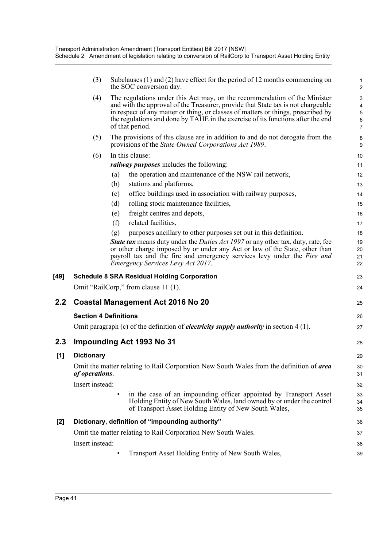| (3)               | Subclauses (1) and (2) have effect for the period of 12 months commencing on<br>the SOC conversion day.                                                                                                                                                                                                                                                  | 1<br>$\overline{\mathbf{c}}$                                                                                                                                                                                                                                                                                                                                                                                                                                                                                                                                                                                                                                                                                                                                            |
|-------------------|----------------------------------------------------------------------------------------------------------------------------------------------------------------------------------------------------------------------------------------------------------------------------------------------------------------------------------------------------------|-------------------------------------------------------------------------------------------------------------------------------------------------------------------------------------------------------------------------------------------------------------------------------------------------------------------------------------------------------------------------------------------------------------------------------------------------------------------------------------------------------------------------------------------------------------------------------------------------------------------------------------------------------------------------------------------------------------------------------------------------------------------------|
| (4)               | The regulations under this Act may, on the recommendation of the Minister<br>and with the approval of the Treasurer, provide that State tax is not chargeable<br>in respect of any matter or thing, or classes of matters or things, prescribed by<br>the regulations and done by TAHE in the exercise of its functions after the end<br>of that period. | 3<br>4<br>5<br>6<br>7                                                                                                                                                                                                                                                                                                                                                                                                                                                                                                                                                                                                                                                                                                                                                   |
| (5)               | The provisions of this clause are in addition to and do not derogate from the<br>provisions of the <i>State Owned Corporations Act 1989</i> .                                                                                                                                                                                                            | 8<br>9                                                                                                                                                                                                                                                                                                                                                                                                                                                                                                                                                                                                                                                                                                                                                                  |
| (6)               | In this clause:                                                                                                                                                                                                                                                                                                                                          | 10                                                                                                                                                                                                                                                                                                                                                                                                                                                                                                                                                                                                                                                                                                                                                                      |
|                   | <i>railway purposes</i> includes the following:                                                                                                                                                                                                                                                                                                          | 11                                                                                                                                                                                                                                                                                                                                                                                                                                                                                                                                                                                                                                                                                                                                                                      |
|                   | the operation and maintenance of the NSW rail network,<br>(a)                                                                                                                                                                                                                                                                                            | 12                                                                                                                                                                                                                                                                                                                                                                                                                                                                                                                                                                                                                                                                                                                                                                      |
|                   | stations and platforms,<br>(b)                                                                                                                                                                                                                                                                                                                           | 13                                                                                                                                                                                                                                                                                                                                                                                                                                                                                                                                                                                                                                                                                                                                                                      |
|                   | office buildings used in association with railway purposes,<br>(c)                                                                                                                                                                                                                                                                                       | 14                                                                                                                                                                                                                                                                                                                                                                                                                                                                                                                                                                                                                                                                                                                                                                      |
|                   |                                                                                                                                                                                                                                                                                                                                                          | 15                                                                                                                                                                                                                                                                                                                                                                                                                                                                                                                                                                                                                                                                                                                                                                      |
|                   |                                                                                                                                                                                                                                                                                                                                                          | 16                                                                                                                                                                                                                                                                                                                                                                                                                                                                                                                                                                                                                                                                                                                                                                      |
|                   |                                                                                                                                                                                                                                                                                                                                                          | 17                                                                                                                                                                                                                                                                                                                                                                                                                                                                                                                                                                                                                                                                                                                                                                      |
|                   | <b>State tax</b> means duty under the <i>Duties Act 1997</i> or any other tax, duty, rate, fee<br>or other charge imposed by or under any Act or law of the State, other than<br>payroll tax and the fire and emergency services levy under the Fire and<br>Emergency Services Levy Act 2017.                                                            | 18<br>19<br>20<br>21<br>22                                                                                                                                                                                                                                                                                                                                                                                                                                                                                                                                                                                                                                                                                                                                              |
|                   |                                                                                                                                                                                                                                                                                                                                                          | 23                                                                                                                                                                                                                                                                                                                                                                                                                                                                                                                                                                                                                                                                                                                                                                      |
|                   |                                                                                                                                                                                                                                                                                                                                                          | 24                                                                                                                                                                                                                                                                                                                                                                                                                                                                                                                                                                                                                                                                                                                                                                      |
|                   |                                                                                                                                                                                                                                                                                                                                                          | 25                                                                                                                                                                                                                                                                                                                                                                                                                                                                                                                                                                                                                                                                                                                                                                      |
|                   |                                                                                                                                                                                                                                                                                                                                                          | 26                                                                                                                                                                                                                                                                                                                                                                                                                                                                                                                                                                                                                                                                                                                                                                      |
|                   |                                                                                                                                                                                                                                                                                                                                                          | 27                                                                                                                                                                                                                                                                                                                                                                                                                                                                                                                                                                                                                                                                                                                                                                      |
|                   |                                                                                                                                                                                                                                                                                                                                                          | 28                                                                                                                                                                                                                                                                                                                                                                                                                                                                                                                                                                                                                                                                                                                                                                      |
| <b>Dictionary</b> |                                                                                                                                                                                                                                                                                                                                                          | 29                                                                                                                                                                                                                                                                                                                                                                                                                                                                                                                                                                                                                                                                                                                                                                      |
|                   |                                                                                                                                                                                                                                                                                                                                                          | 30<br>31                                                                                                                                                                                                                                                                                                                                                                                                                                                                                                                                                                                                                                                                                                                                                                |
|                   |                                                                                                                                                                                                                                                                                                                                                          | 32                                                                                                                                                                                                                                                                                                                                                                                                                                                                                                                                                                                                                                                                                                                                                                      |
|                   | in the case of an impounding officer appointed by Transport Asset<br>Holding Entity of New South Wales, land owned by or under the control<br>of Transport Asset Holding Entity of New South Wales,                                                                                                                                                      | 33<br>34<br>35                                                                                                                                                                                                                                                                                                                                                                                                                                                                                                                                                                                                                                                                                                                                                          |
|                   |                                                                                                                                                                                                                                                                                                                                                          | 36                                                                                                                                                                                                                                                                                                                                                                                                                                                                                                                                                                                                                                                                                                                                                                      |
|                   |                                                                                                                                                                                                                                                                                                                                                          | 37                                                                                                                                                                                                                                                                                                                                                                                                                                                                                                                                                                                                                                                                                                                                                                      |
|                   |                                                                                                                                                                                                                                                                                                                                                          | 38                                                                                                                                                                                                                                                                                                                                                                                                                                                                                                                                                                                                                                                                                                                                                                      |
|                   | Transport Asset Holding Entity of New South Wales,                                                                                                                                                                                                                                                                                                       | 39                                                                                                                                                                                                                                                                                                                                                                                                                                                                                                                                                                                                                                                                                                                                                                      |
|                   |                                                                                                                                                                                                                                                                                                                                                          | rolling stock maintenance facilities,<br>(d)<br>freight centres and depots,<br>(e)<br>related facilities,<br>(f)<br>purposes ancillary to other purposes set out in this definition.<br>(g)<br><b>Schedule 8 SRA Residual Holding Corporation</b><br>Omit "RailCorp," from clause 11 (1).<br>Coastal Management Act 2016 No 20<br><b>Section 4 Definitions</b><br>Omit paragraph (c) of the definition of <i>electricity supply authority</i> in section $4(1)$ .<br>Impounding Act 1993 No 31<br>Omit the matter relating to Rail Corporation New South Wales from the definition of area<br>of operations.<br>Insert instead:<br>Dictionary, definition of "impounding authority"<br>Omit the matter relating to Rail Corporation New South Wales.<br>Insert instead: |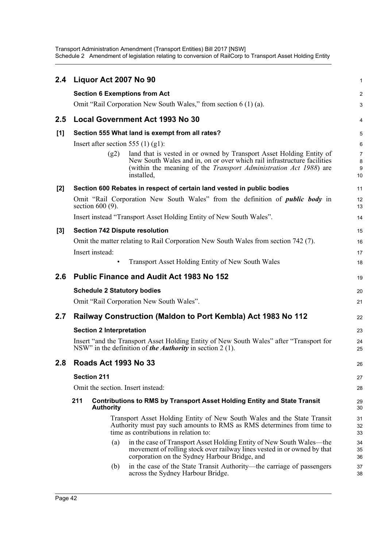| 2.4     | Liquor Act 2007 No 90                                                                                                                                                                                                                              | $\mathbf{1}$                   |
|---------|----------------------------------------------------------------------------------------------------------------------------------------------------------------------------------------------------------------------------------------------------|--------------------------------|
|         | <b>Section 6 Exemptions from Act</b>                                                                                                                                                                                                               | 2                              |
|         | Omit "Rail Corporation New South Wales," from section 6 (1) (a).                                                                                                                                                                                   | 3                              |
| $2.5\,$ | <b>Local Government Act 1993 No 30</b>                                                                                                                                                                                                             | 4                              |
| [1]     | Section 555 What land is exempt from all rates?                                                                                                                                                                                                    | 5                              |
|         | Insert after section 555 (1) (g1):                                                                                                                                                                                                                 | 6                              |
|         | land that is vested in or owned by Transport Asset Holding Entity of<br>(g2)<br>New South Wales and in, on or over which rail infrastructure facilities<br>(within the meaning of the <i>Transport Administration Act 1988</i> ) are<br>installed. | $\overline{7}$<br>8<br>9<br>10 |
| $[2]$   | Section 600 Rebates in respect of certain land vested in public bodies                                                                                                                                                                             | 11                             |
|         | Omit "Rail Corporation New South Wales" from the definition of <i>public body</i> in<br>section $600(9)$ .                                                                                                                                         | 12<br>13                       |
|         | Insert instead "Transport Asset Holding Entity of New South Wales".                                                                                                                                                                                | 14                             |
| $[3]$   | <b>Section 742 Dispute resolution</b>                                                                                                                                                                                                              | 15                             |
|         | Omit the matter relating to Rail Corporation New South Wales from section 742 (7).                                                                                                                                                                 | 16                             |
|         | Insert instead:                                                                                                                                                                                                                                    | 17                             |
|         | <b>Transport Asset Holding Entity of New South Wales</b>                                                                                                                                                                                           | 18                             |
| 2.6     | <b>Public Finance and Audit Act 1983 No 152</b>                                                                                                                                                                                                    | 19                             |
|         | <b>Schedule 2 Statutory bodies</b>                                                                                                                                                                                                                 | 20                             |
|         | Omit "Rail Corporation New South Wales".                                                                                                                                                                                                           | 21                             |
| 2.7     | Railway Construction (Maldon to Port Kembla) Act 1983 No 112                                                                                                                                                                                       | 22                             |
|         | <b>Section 2 Interpretation</b>                                                                                                                                                                                                                    | 23                             |
|         | Insert "and the Transport Asset Holding Entity of New South Wales" after "Transport for<br>NSW" in the definition of <i>the Authority</i> in section $2(1)$ .                                                                                      | 24<br>25                       |
| 2.8     | <b>Roads Act 1993 No 33</b>                                                                                                                                                                                                                        | 26                             |
|         | <b>Section 211</b>                                                                                                                                                                                                                                 | 27                             |
|         | Omit the section. Insert instead:                                                                                                                                                                                                                  | 28                             |
|         | 211<br><b>Contributions to RMS by Transport Asset Holding Entity and State Transit</b><br><b>Authority</b>                                                                                                                                         | 29<br>30                       |
|         | Transport Asset Holding Entity of New South Wales and the State Transit<br>Authority must pay such amounts to RMS as RMS determines from time to<br>time as contributions in relation to:                                                          | 31<br>32<br>33                 |
|         | in the case of Transport Asset Holding Entity of New South Wales—the<br>(a)<br>movement of rolling stock over railway lines vested in or owned by that<br>corporation on the Sydney Harbour Bridge, and                                            | 34<br>35<br>36                 |
|         | in the case of the State Transit Authority—the carriage of passengers<br>(b)<br>across the Sydney Harbour Bridge.                                                                                                                                  | 37<br>38                       |